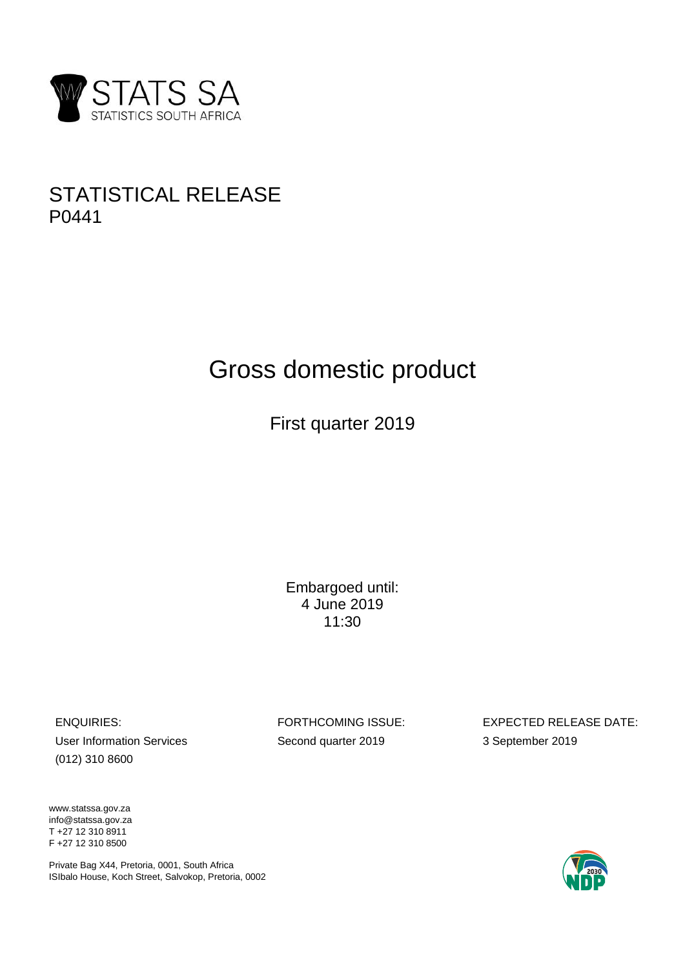

## STATISTICAL RELEASE P0441

# Gross domestic product

First quarter 2019

Embargoed until: 4 June 2019 11:30

User Information Services Second quarter 2019 3 September 2019 (012) 310 8600

ENQUIRIES: FORTHCOMING ISSUE: EXPECTED RELEASE DATE:

www.statssa.gov.za info@statssa.gov.za T +27 12 310 8911 F +27 12 310 8500

Private Bag X44, Pretoria, 0001, South Africa ISIbalo House, Koch Street, Salvokop, Pretoria, 0002

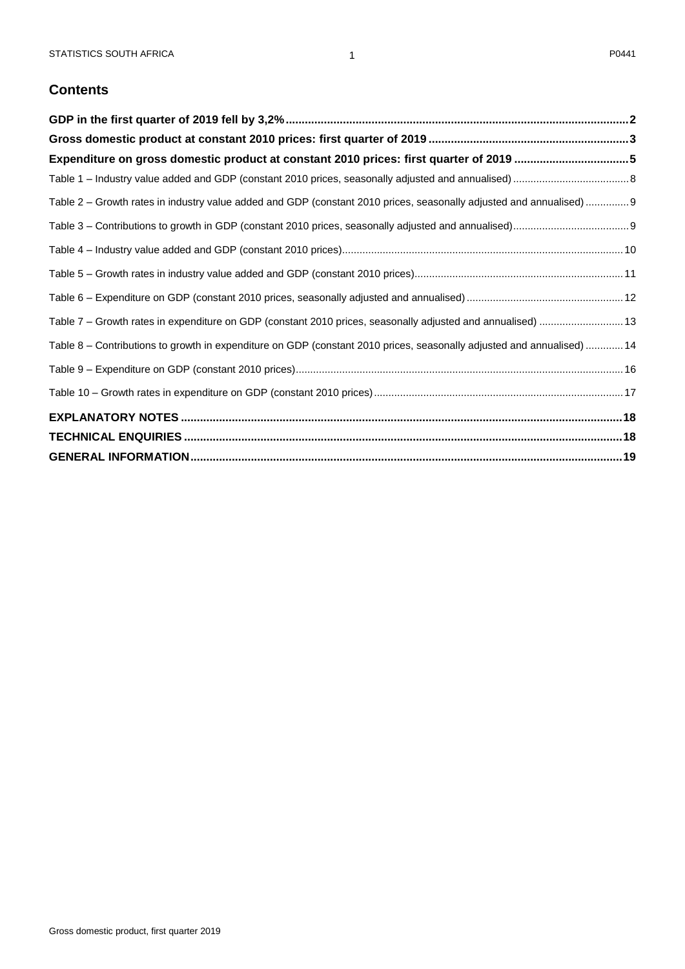## **Contents**

| Expenditure on gross domestic product at constant 2010 prices: first quarter of 2019 5                                 |  |
|------------------------------------------------------------------------------------------------------------------------|--|
|                                                                                                                        |  |
| Table 2 - Growth rates in industry value added and GDP (constant 2010 prices, seasonally adjusted and annualised)  9   |  |
|                                                                                                                        |  |
|                                                                                                                        |  |
|                                                                                                                        |  |
|                                                                                                                        |  |
| Table 7 - Growth rates in expenditure on GDP (constant 2010 prices, seasonally adjusted and annualised)  13            |  |
| Table 8 – Contributions to growth in expenditure on GDP (constant 2010 prices, seasonally adjusted and annualised)  14 |  |
|                                                                                                                        |  |
|                                                                                                                        |  |
|                                                                                                                        |  |
|                                                                                                                        |  |
|                                                                                                                        |  |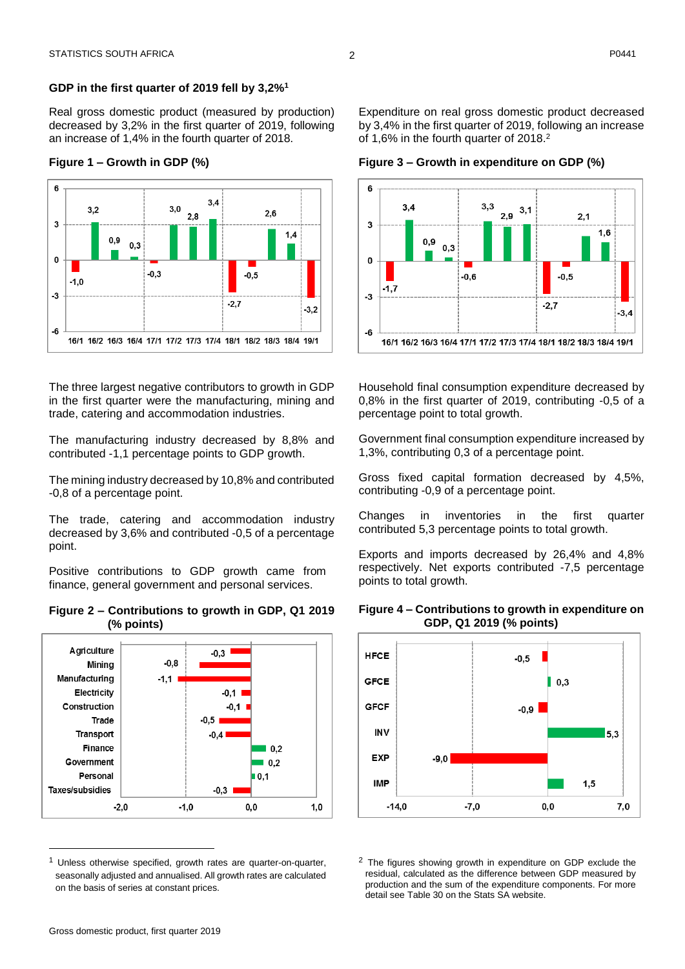<span id="page-2-0"></span>Real gross domestic product (measured by production) decreased by 3,2% in the first quarter of 2019, following an increase of 1,4% in the fourth quarter of 2018.

#### **Figure 1 – Growth in GDP (%)**



The three largest negative contributors to growth in GDP in the first quarter were the manufacturing, mining and trade, catering and accommodation industries.

The manufacturing industry decreased by 8,8% and contributed -1,1 percentage points to GDP growth.

The mining industry decreased by 10,8% and contributed -0,8 of a percentage point.

The trade, catering and accommodation industry decreased by 3,6% and contributed -0,5 of a percentage point.

Positive contributions to GDP growth came from finance, general government and personal services.





Unless otherwise specified, growth rates are quarter-on-quarter, seasonally adjusted and annualised. All growth rates are calculated on the basis of series at constant prices.

Expenditure on real gross domestic product decreased by 3,4% in the first quarter of 2019, following an increase of 1,6% in the fourth quarter of 2018. 2

**Figure 3 – Growth in expenditure on GDP (%)**



Household final consumption expenditure decreased by 0,8% in the first quarter of 2019, contributing -0,5 of a percentage point to total growth.

Government final consumption expenditure increased by 1,3%, contributing 0,3 of a percentage point.

Gross fixed capital formation decreased by 4,5%, contributing -0,9 of a percentage point.

Changes in inventories in the first quarter contributed 5,3 percentage points to total growth.

Exports and imports decreased by 26,4% and 4,8% respectively. Net exports contributed -7,5 percentage points to total growth.



 $1,5$ 

 $7.0$ 

 $0.0$ 

#### **Figure 4 – Contributions to growth in expenditure on GDP, Q1 2019 (% points)**

<sup>2</sup> The figures showing growth in expenditure on GDP exclude the residual, calculated as the difference between GDP measured by production and the sum of the expenditure components. For more detail see Table 30 on the Stats SA website.

 $-7,0$ 

**IMP** 

 $-14,0$ 

 $\overline{a}$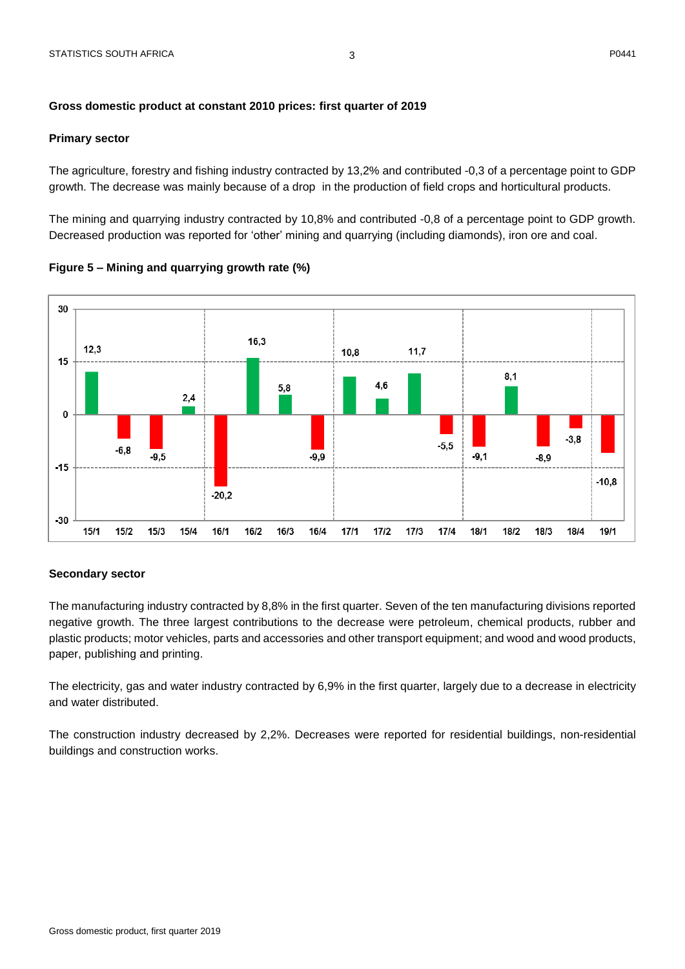#### <span id="page-3-0"></span>**Gross domestic product at constant 2010 prices: first quarter of 2019**

#### **Primary sector**

The agriculture, forestry and fishing industry contracted by 13,2% and contributed -0,3 of a percentage point to GDP growth. The decrease was mainly because of a drop in the production of field crops and horticultural products.

The mining and quarrying industry contracted by 10,8% and contributed -0,8 of a percentage point to GDP growth. Decreased production was reported for 'other' mining and quarrying (including diamonds), iron ore and coal.

**Figure 5 – Mining and quarrying growth rate (%)**



#### **Secondary sector**

The manufacturing industry contracted by 8,8% in the first quarter. Seven of the ten manufacturing divisions reported negative growth. The three largest contributions to the decrease were petroleum, chemical products, rubber and plastic products; motor vehicles, parts and accessories and other transport equipment; and wood and wood products, paper, publishing and printing.

The electricity, gas and water industry contracted by 6,9% in the first quarter, largely due to a decrease in electricity and water distributed.

The construction industry decreased by 2,2%. Decreases were reported for residential buildings, non-residential buildings and construction works.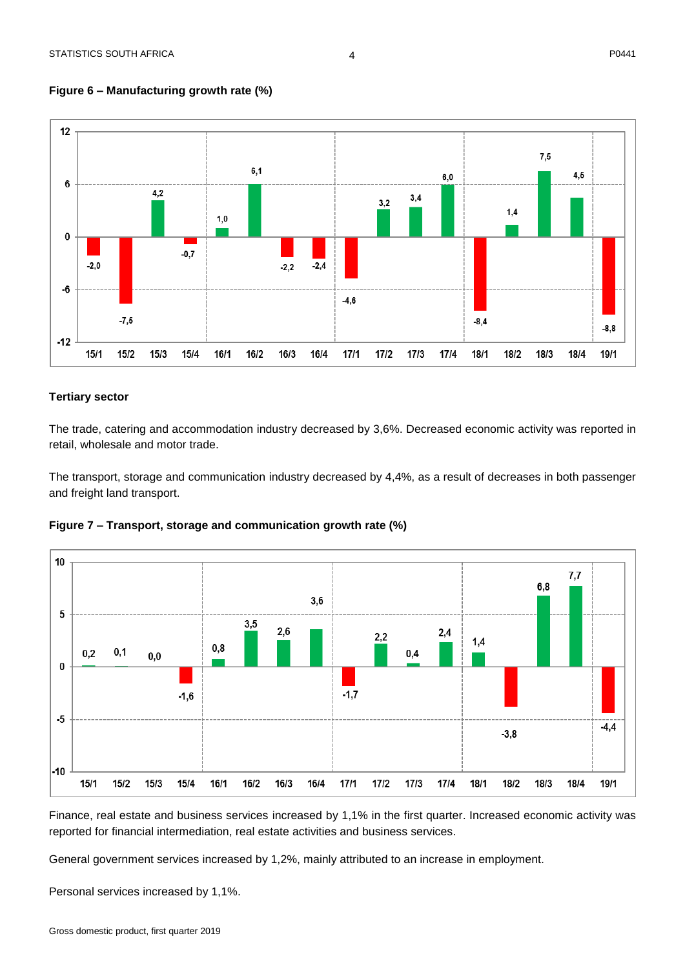**Figure 6 – Manufacturing growth rate (%)**



#### **Tertiary sector**

The trade, catering and accommodation industry decreased by 3,6%. Decreased economic activity was reported in retail, wholesale and motor trade.

The transport, storage and communication industry decreased by 4,4%, as a result of decreases in both passenger and freight land transport.





Finance, real estate and business services increased by 1,1% in the first quarter. Increased economic activity was reported for financial intermediation, real estate activities and business services.

General government services increased by 1,2%, mainly attributed to an increase in employment.

Personal services increased by 1,1%.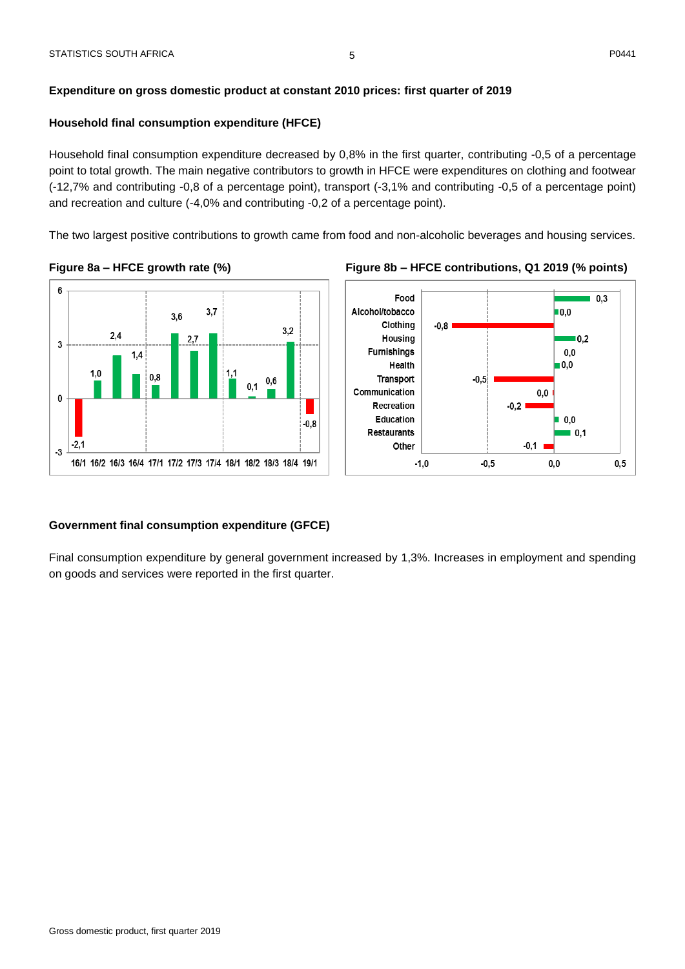#### <span id="page-5-0"></span>**Household final consumption expenditure (HFCE)**

Household final consumption expenditure decreased by 0,8% in the first quarter, contributing -0,5 of a percentage point to total growth. The main negative contributors to growth in HFCE were expenditures on clothing and footwear (-12,7% and contributing -0,8 of a percentage point), transport (-3,1% and contributing -0,5 of a percentage point) and recreation and culture (-4,0% and contributing -0,2 of a percentage point).

The two largest positive contributions to growth came from food and non-alcoholic beverages and housing services.







#### **Government final consumption expenditure (GFCE)**

Final consumption expenditure by general government increased by 1,3%. Increases in employment and spending on goods and services were reported in the first quarter.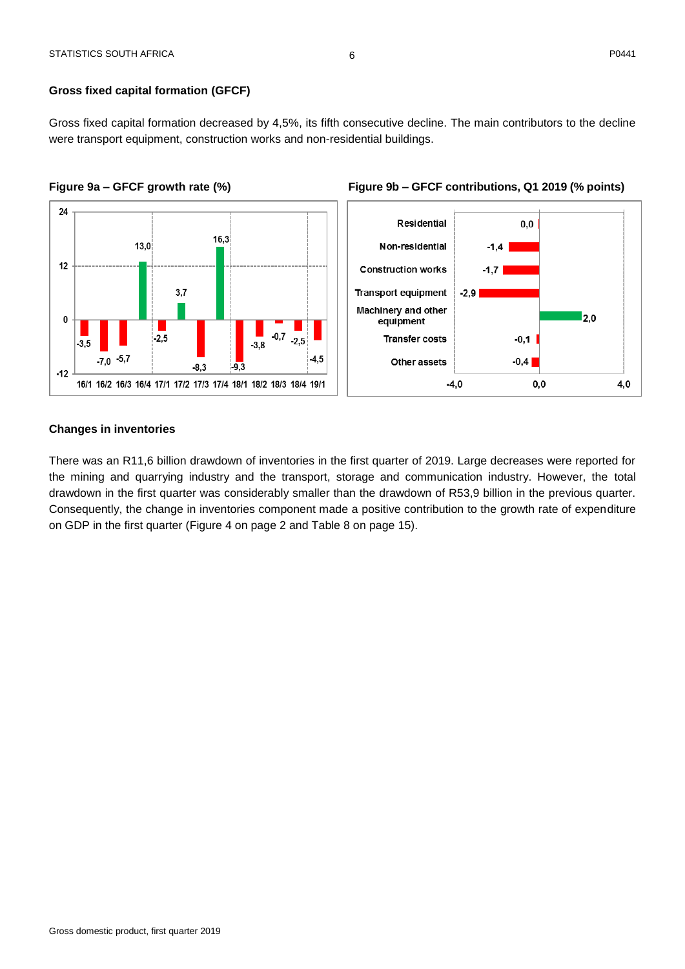#### **Gross fixed capital formation (GFCF)**

Gross fixed capital formation decreased by 4,5%, its fifth consecutive decline. The main contributors to the decline were transport equipment, construction works and non-residential buildings.







#### **Changes in inventories**

There was an R11,6 billion drawdown of inventories in the first quarter of 2019. Large decreases were reported for the mining and quarrying industry and the transport, storage and communication industry. However, the total drawdown in the first quarter was considerably smaller than the drawdown of R53,9 billion in the previous quarter. Consequently, the change in inventories component made a positive contribution to the growth rate of expenditure on GDP in the first quarter (Figure 4 on page 2 and Table 8 on page 15).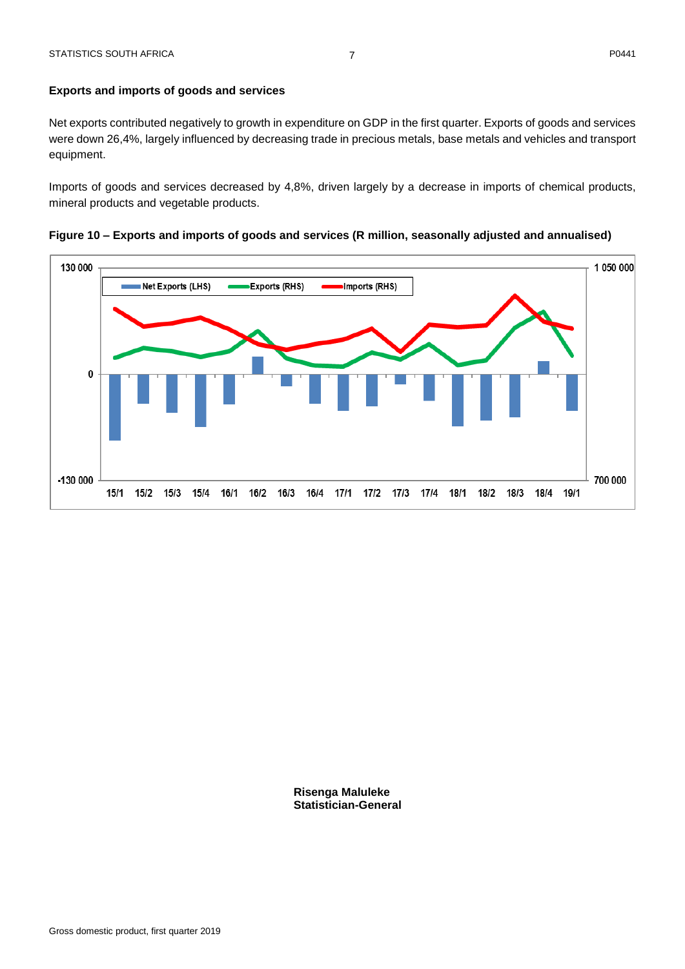Net exports contributed negatively to growth in expenditure on GDP in the first quarter. Exports of goods and services were down 26,4%, largely influenced by decreasing trade in precious metals, base metals and vehicles and transport equipment.

Imports of goods and services decreased by 4,8%, driven largely by a decrease in imports of chemical products, mineral products and vegetable products.

**Figure 10 – Exports and imports of goods and services (R million, seasonally adjusted and annualised)**



**Risenga Maluleke Statistician-General**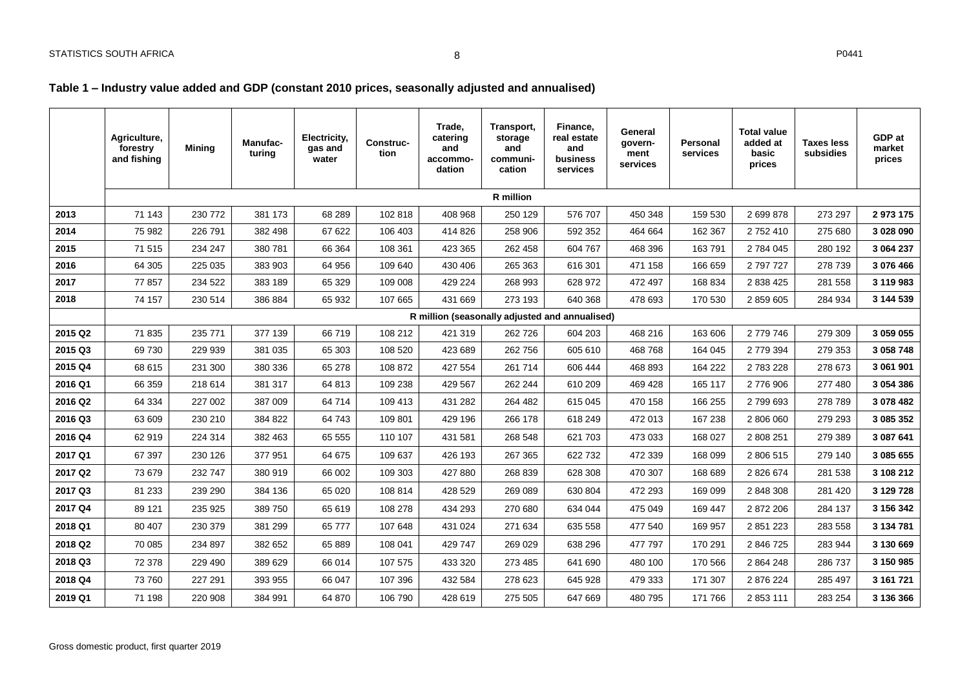## **Table 1 – Industry value added and GDP (constant 2010 prices, seasonally adjusted and annualised)**

<span id="page-8-1"></span><span id="page-8-0"></span>

|         | Agriculture,<br>forestry<br>and fishing | <b>Mining</b> | <b>Manufac-</b><br>turing | Electricity,<br>gas and<br>water | <b>Construc-</b><br>tion | Trade,<br>catering<br>and<br>accommo-<br>dation | Transport,<br>storage<br>and<br>communi-<br>cation | Finance,<br>real estate<br>and<br>business<br>services | General<br>govern-<br>ment<br>services | Personal<br>services | <b>Total value</b><br>added at<br>basic<br>prices | <b>Taxes less</b><br>subsidies | GDP at<br>market<br>prices |
|---------|-----------------------------------------|---------------|---------------------------|----------------------------------|--------------------------|-------------------------------------------------|----------------------------------------------------|--------------------------------------------------------|----------------------------------------|----------------------|---------------------------------------------------|--------------------------------|----------------------------|
|         |                                         |               |                           |                                  |                          |                                                 | R million                                          |                                                        |                                        |                      |                                                   |                                |                            |
| 2013    | 71 143                                  | 230 772       | 381 173                   | 68 289                           | 102 818                  | 408 968                                         | 250 129                                            | 576 707                                                | 450 348                                | 159 530              | 2 699 878                                         | 273 297                        | 2 973 175                  |
| 2014    | 75 982                                  | 226 791       | 382 498                   | 67 622                           | 106 403                  | 414 826                                         | 258 906                                            | 592 352                                                | 464 664                                | 162 367              | 2752410                                           | 275 680                        | 3 028 090                  |
| 2015    | 71 515                                  | 234 247       | 380 781                   | 66 364                           | 108 361                  | 423 365                                         | 262 458                                            | 604 767                                                | 468 396                                | 163791               | 2784045                                           | 280 192                        | 3 064 237                  |
| 2016    | 64 30 5                                 | 225 035       | 383 903                   | 64 956                           | 109 640                  | 430 406                                         | 265 363                                            | 616 301                                                | 471 158                                | 166 659              | 2797727                                           | 278 739                        | 3 076 466                  |
| 2017    | 77857                                   | 234 522       | 383 189                   | 65 329                           | 109 008                  | 429 224                                         | 268 993                                            | 628 972                                                | 472 497                                | 168 834              | 2 838 425                                         | 281 558                        | 3 119 983                  |
| 2018    | 74 157                                  | 230 514       | 386 884                   | 65 932                           | 107 665                  | 431 669                                         | 273 193                                            | 640 368                                                | 478 693                                | 170 530              | 2 859 605                                         | 284 934                        | 3 144 539                  |
|         |                                         |               |                           |                                  |                          | R million (seasonally adjusted and annualised)  |                                                    |                                                        |                                        |                      |                                                   |                                |                            |
| 2015 Q2 | 71835                                   | 235 771       | 377 139                   | 66719                            | 108 212                  | 421 319                                         | 262 726                                            | 604 203                                                | 468 216                                | 163 606              | 2 779 746                                         | 279 309                        | 3 059 055                  |
| 2015 Q3 | 69730                                   | 229 939       | 381 035                   | 65 303                           | 108 520                  | 423 689                                         | 262 756                                            | 605 610                                                | 468 768                                | 164 045              | 2 779 394                                         | 279 353                        | 3 058 748                  |
| 2015 Q4 | 68 615                                  | 231 300       | 380 336                   | 65 278                           | 108 872                  | 427 554                                         | 261 714                                            | 606 444                                                | 468 893                                | 164 222              | 2783228                                           | 278 673                        | 3 061 901                  |
| 2016 Q1 | 66 359                                  | 218 614       | 381 317                   | 64 813                           | 109 238                  | 429 567                                         | 262 244                                            | 610 209                                                | 469 428                                | 165 117              | 2776906                                           | 277 480                        | 3 054 386                  |
| 2016 Q2 | 64 334                                  | 227 002       | 387 009                   | 64 714                           | 109 413                  | 431 282                                         | 264 482                                            | 615 045                                                | 470 158                                | 166 255              | 2799693                                           | 278 789                        | 3 078 482                  |
| 2016 Q3 | 63 609                                  | 230 210       | 384 822                   | 64 743                           | 109 801                  | 429 196                                         | 266 178                                            | 618 249                                                | 472 013                                | 167 238              | 2 806 060                                         | 279 293                        | 3 085 352                  |
| 2016 Q4 | 62 919                                  | 224 314       | 382 463                   | 65 555                           | 110 107                  | 431 581                                         | 268 548                                            | 621 703                                                | 473 033                                | 168 027              | 2 808 251                                         | 279 389                        | 3 087 641                  |
| 2017 Q1 | 67 397                                  | 230 126       | 377 951                   | 64 675                           | 109 637                  | 426 193                                         | 267 365                                            | 622 732                                                | 472 339                                | 168 099              | 2 806 515                                         | 279 140                        | 3 085 655                  |
| 2017 Q2 | 73 679                                  | 232 747       | 380 919                   | 66 002                           | 109 303                  | 427 880                                         | 268 839                                            | 628 308                                                | 470 307                                | 168 689              | 2 8 2 6 6 7 4                                     | 281 538                        | 3 108 212                  |
| 2017 Q3 | 81 233                                  | 239 290       | 384 136                   | 65 0 20                          | 108 814                  | 428 529                                         | 269 089                                            | 630 804                                                | 472 293                                | 169 099              | 2 848 308                                         | 281 420                        | 3 129 728                  |
| 2017 Q4 | 89 121                                  | 235 925       | 389 750                   | 65 619                           | 108 278                  | 434 293                                         | 270 680                                            | 634 044                                                | 475 049                                | 169 447              | 2 872 206                                         | 284 137                        | 3 156 342                  |
| 2018 Q1 | 80 407                                  | 230 379       | 381 299                   | 65 777                           | 107 648                  | 431 024                                         | 271 634                                            | 635 558                                                | 477 540                                | 169 957              | 2 851 223                                         | 283 558                        | 3 134 781                  |
| 2018 Q2 | 70 085                                  | 234 897       | 382 652                   | 65 889                           | 108 041                  | 429 747                                         | 269 029                                            | 638 296                                                | 477 797                                | 170 291              | 2 846 725                                         | 283 944                        | 3 130 669                  |
| 2018 Q3 | 72 378                                  | 229 490       | 389 629                   | 66 014                           | 107 575                  | 433 320                                         | 273 485                                            | 641 690                                                | 480 100                                | 170 566              | 2 8 6 4 2 4 8                                     | 286 737                        | 3 150 985                  |
| 2018 Q4 | 73 760                                  | 227 291       | 393 955                   | 66 047                           | 107 396                  | 432 584                                         | 278 623                                            | 645 928                                                | 479 333                                | 171 307              | 2876224                                           | 285 497                        | 3 161 721                  |
| 2019 Q1 | 71 198                                  | 220 908       | 384 991                   | 64 870                           | 106 790                  | 428 619                                         | 275 505                                            | 647 669                                                | 480 795                                | 171 766              | 2853111                                           | 283 254                        | 3 136 366                  |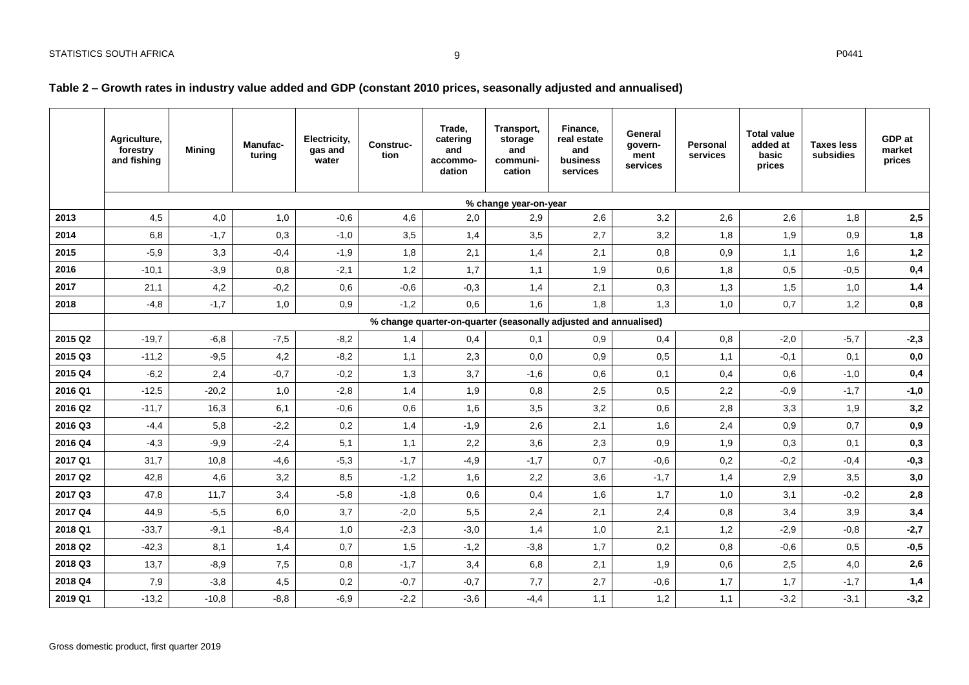## **Table 2 – Growth rates in industry value added and GDP (constant 2010 prices, seasonally adjusted and annualised)**

<span id="page-9-0"></span>

|         | Agriculture,<br>forestry<br>and fishing | <b>Minina</b> | <b>Manufac-</b><br>turing | Electricity,<br>gas and<br>water | Construc-<br>tion | Trade,<br>catering<br>and<br>accommo-<br>dation | Transport,<br>storage<br>and<br>communi-<br>cation | Finance,<br>real estate<br>and<br>business<br>services           | General<br>govern-<br>ment<br>services | <b>Personal</b><br>services | <b>Total value</b><br>added at<br>basic<br>prices | <b>Taxes less</b><br>subsidies | GDP at<br>market<br>prices |
|---------|-----------------------------------------|---------------|---------------------------|----------------------------------|-------------------|-------------------------------------------------|----------------------------------------------------|------------------------------------------------------------------|----------------------------------------|-----------------------------|---------------------------------------------------|--------------------------------|----------------------------|
|         |                                         |               |                           |                                  |                   |                                                 | % change year-on-year                              |                                                                  |                                        |                             |                                                   |                                |                            |
| 2013    | 4,5                                     | 4,0           | 1,0                       | $-0,6$                           | 4,6               | 2,0                                             | 2,9                                                | 2,6                                                              | 3,2                                    | 2,6                         | 2,6                                               | 1,8                            | 2,5                        |
| 2014    | 6,8                                     | $-1,7$        | 0,3                       | $-1,0$                           | 3,5               | 1,4                                             | 3,5                                                | 2,7                                                              | 3,2                                    | 1,8                         | 1,9                                               | 0,9                            | 1,8                        |
| 2015    | $-5,9$                                  | 3,3           | $-0,4$                    | $-1,9$                           | 1,8               | 2,1                                             | 1,4                                                | 2,1                                                              | 0,8                                    | 0,9                         | 1,1                                               | 1,6                            | 1,2                        |
| 2016    | $-10,1$                                 | $-3,9$        | 0,8                       | $-2,1$                           | 1,2               | 1,7                                             | 1,1                                                | 1,9                                                              | 0,6                                    | 1,8                         | 0,5                                               | $-0,5$                         | $\mathbf{0,4}$             |
| 2017    | 21,1                                    | 4,2           | $-0,2$                    | 0,6                              | $-0,6$            | $-0,3$                                          | 1,4                                                | 2,1                                                              | 0,3                                    | 1,3                         | 1,5                                               | 1,0                            | 1,4                        |
| 2018    | $-4,8$                                  | $-1,7$        | 1,0                       | 0,9                              | $-1,2$            | 0,6                                             | 1,6                                                | 1,8                                                              | 1,3                                    | 1,0                         | 0,7                                               | 1,2                            | $\mathbf{0},\mathbf{8}$    |
|         |                                         |               |                           |                                  |                   |                                                 |                                                    | % change quarter-on-quarter (seasonally adjusted and annualised) |                                        |                             |                                                   |                                |                            |
| 2015 Q2 | $-19,7$                                 | $-6,8$        | $-7,5$                    | $-8,2$                           | 1,4               | 0,4                                             | 0.1                                                | 0,9                                                              | 0,4                                    | 0,8                         | $-2,0$                                            | $-5,7$                         | $-2,3$                     |
| 2015 Q3 | $-11,2$                                 | $-9,5$        | 4,2                       | $-8,2$                           | 1,1               | 2,3                                             | 0,0                                                | 0,9                                                              | 0,5                                    | 1,1                         | $-0,1$                                            | 0,1                            | 0,0                        |
| 2015 Q4 | $-6,2$                                  | 2,4           | $-0,7$                    | $-0,2$                           | 1,3               | 3,7                                             | $-1,6$                                             | 0,6                                                              | 0,1                                    | 0,4                         | 0,6                                               | $-1,0$                         | 0,4                        |
| 2016 Q1 | $-12.5$                                 | $-20,2$       | 1,0                       | $-2,8$                           | 1,4               | 1,9                                             | 0,8                                                | 2,5                                                              | 0,5                                    | 2,2                         | $-0,9$                                            | $-1,7$                         | $-1,0$                     |
| 2016 Q2 | $-11,7$                                 | 16,3          | 6,1                       | $-0,6$                           | 0,6               | 1,6                                             | 3,5                                                | 3,2                                                              | 0,6                                    | 2,8                         | 3,3                                               | 1,9                            | 3,2                        |
| 2016 Q3 | $-4,4$                                  | 5,8           | $-2,2$                    | 0,2                              | 1,4               | $-1,9$                                          | 2,6                                                | 2,1                                                              | 1,6                                    | 2,4                         | 0,9                                               | 0,7                            | 0,9                        |
| 2016 Q4 | $-4,3$                                  | $-9,9$        | $-2,4$                    | 5,1                              | 1,1               | 2,2                                             | 3,6                                                | 2,3                                                              | 0,9                                    | 1,9                         | 0,3                                               | 0,1                            | 0,3                        |
| 2017 Q1 | 31,7                                    | 10,8          | $-4,6$                    | $-5,3$                           | $-1,7$            | $-4,9$                                          | $-1,7$                                             | 0,7                                                              | $-0,6$                                 | 0,2                         | $-0,2$                                            | $-0,4$                         | $-0,3$                     |
| 2017 Q2 | 42,8                                    | 4,6           | 3,2                       | 8,5                              | $-1,2$            | 1,6                                             | 2,2                                                | 3,6                                                              | $-1,7$                                 | 1,4                         | 2,9                                               | 3,5                            | 3,0                        |
| 2017 Q3 | 47,8                                    | 11,7          | 3,4                       | $-5,8$                           | $-1,8$            | 0,6                                             | 0,4                                                | 1,6                                                              | 1,7                                    | 1,0                         | 3,1                                               | $-0,2$                         | 2,8                        |
| 2017 Q4 | 44,9                                    | $-5,5$        | 6,0                       | 3,7                              | $-2,0$            | 5,5                                             | 2,4                                                | 2,1                                                              | 2,4                                    | 0,8                         | 3,4                                               | 3,9                            | 3,4                        |
| 2018 Q1 | $-33,7$                                 | $-9,1$        | $-8,4$                    | 1,0                              | $-2,3$            | $-3,0$                                          | 1,4                                                | 1,0                                                              | 2,1                                    | 1,2                         | $-2,9$                                            | $-0,8$                         | $-2,7$                     |
| 2018 Q2 | $-42,3$                                 | 8,1           | 1,4                       | 0,7                              | 1,5               | $-1,2$                                          | $-3,8$                                             | 1,7                                                              | 0,2                                    | 0,8                         | $-0,6$                                            | 0,5                            | $-0,5$                     |
| 2018 Q3 | 13,7                                    | $-8,9$        | 7,5                       | 0,8                              | $-1,7$            | 3,4                                             | 6,8                                                | 2,1                                                              | 1,9                                    | 0,6                         | 2,5                                               | 4,0                            | 2,6                        |
| 2018 Q4 | 7,9                                     | $-3,8$        | 4,5                       | 0,2                              | $-0,7$            | $-0,7$                                          | 7,7                                                | 2,7                                                              | $-0,6$                                 | 1,7                         | 1,7                                               | $-1,7$                         | 1,4                        |
| 2019 Q1 | $-13,2$                                 | $-10,8$       | $-8,8$                    | $-6,9$                           | $-2,2$            | $-3,6$                                          | $-4,4$                                             | 1,1                                                              | 1,2                                    | 1,1                         | $-3,2$                                            | $-3,1$                         | $-3,2$                     |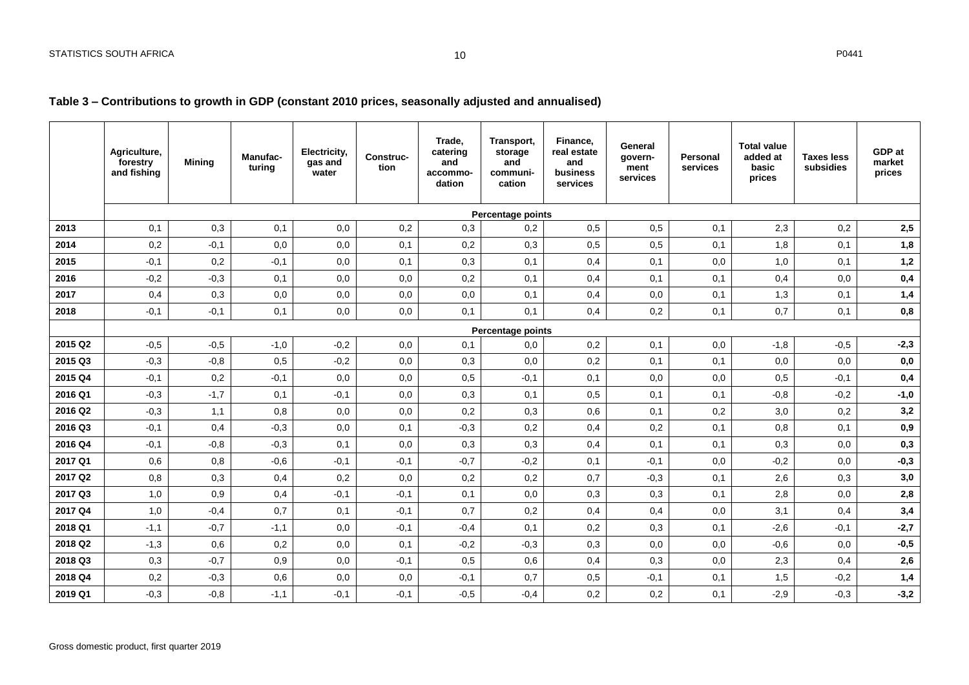## **Table 3 – Contributions to growth in GDP (constant 2010 prices, seasonally adjusted and annualised)**

<span id="page-10-0"></span>

|         | Agriculture,<br>forestry<br>and fishing | <b>Mining</b> | Manufac-<br>turing | Electricity,<br>gas and<br>water | Construc-<br>tion | Trade.<br>catering<br>and<br>accommo-<br>dation | Transport,<br>storage<br>and<br>communi-<br>cation | Finance,<br>real estate<br>and<br>business<br>services | General<br>govern-<br>ment<br>services | <b>Personal</b><br>services | <b>Total value</b><br>added at<br>basic<br>prices | <b>Taxes less</b><br>subsidies | GDP at<br>market<br>prices |
|---------|-----------------------------------------|---------------|--------------------|----------------------------------|-------------------|-------------------------------------------------|----------------------------------------------------|--------------------------------------------------------|----------------------------------------|-----------------------------|---------------------------------------------------|--------------------------------|----------------------------|
|         |                                         |               |                    |                                  |                   |                                                 | Percentage points                                  |                                                        |                                        |                             |                                                   |                                |                            |
| 2013    | 0,1                                     | 0,3           | 0,1                | 0,0                              | 0,2               | 0,3                                             | 0,2                                                | 0,5                                                    | 0,5                                    | 0,1                         | 2,3                                               | 0,2                            | 2,5                        |
| 2014    | 0,2                                     | $-0,1$        | 0,0                | 0,0                              | 0,1               | 0,2                                             | 0,3                                                | 0,5                                                    | 0,5                                    | 0,1                         | 1,8                                               | 0,1                            | 1,8                        |
| 2015    | $-0,1$                                  | 0,2           | $-0,1$             | 0,0                              | 0,1               | 0,3                                             | 0,1                                                | 0,4                                                    | 0,1                                    | 0,0                         | 1,0                                               | 0,1                            | 1,2                        |
| 2016    | $-0,2$                                  | $-0.3$        | 0,1                | 0,0                              | 0,0               | 0,2                                             | 0,1                                                | 0,4                                                    | 0,1                                    | 0,1                         | 0,4                                               | 0,0                            | 0,4                        |
| 2017    | 0,4                                     | 0,3           | 0,0                | 0,0                              | 0,0               | 0,0                                             | 0,1                                                | 0,4                                                    | 0,0                                    | 0,1                         | 1,3                                               | 0,1                            | 1,4                        |
| 2018    | $-0,1$                                  | $-0,1$        | 0,1                | 0,0                              | 0,0               | 0,1                                             | 0.1                                                | 0.4                                                    | 0,2                                    | 0,1                         | 0,7                                               | 0,1                            | 0,8                        |
|         |                                         |               |                    |                                  |                   |                                                 | Percentage points                                  |                                                        |                                        |                             |                                                   |                                |                            |
| 2015 Q2 | $-0,5$                                  | $-0,5$        | $-1,0$             | $-0,2$                           | 0,0               | 0,1                                             | 0,0                                                | 0,2                                                    | 0,1                                    | 0,0                         | $-1,8$                                            | $-0,5$                         | $-2,3$                     |
| 2015 Q3 | $-0,3$                                  | $-0,8$        | 0,5                | $-0,2$                           | 0,0               | 0,3                                             | 0,0                                                | 0,2                                                    | 0,1                                    | 0,1                         | 0,0                                               | 0,0                            | 0,0                        |
| 2015 Q4 | $-0,1$                                  | 0,2           | $-0,1$             | 0,0                              | 0,0               | 0,5                                             | $-0,1$                                             | 0,1                                                    | 0,0                                    | 0,0                         | 0,5                                               | $-0,1$                         | 0,4                        |
| 2016 Q1 | $-0,3$                                  | $-1,7$        | 0,1                | $-0,1$                           | 0,0               | 0,3                                             | 0,1                                                | 0,5                                                    | 0,1                                    | 0,1                         | $-0,8$                                            | $-0,2$                         | $-1,0$                     |
| 2016 Q2 | $-0,3$                                  | 1,1           | 0,8                | 0,0                              | 0,0               | 0,2                                             | 0,3                                                | 0,6                                                    | 0,1                                    | 0,2                         | 3,0                                               | 0,2                            | 3,2                        |
| 2016 Q3 | $-0,1$                                  | 0,4           | $-0,3$             | 0,0                              | 0,1               | $-0,3$                                          | 0,2                                                | 0,4                                                    | 0,2                                    | 0,1                         | 0,8                                               | 0,1                            | 0,9                        |
| 2016 Q4 | $-0,1$                                  | $-0,8$        | $-0,3$             | 0,1                              | 0,0               | 0,3                                             | 0,3                                                | 0,4                                                    | 0,1                                    | 0,1                         | 0,3                                               | 0,0                            | 0,3                        |
| 2017 Q1 | 0,6                                     | 0,8           | $-0,6$             | $-0,1$                           | $-0,1$            | $-0.7$                                          | $-0,2$                                             | 0,1                                                    | $-0,1$                                 | 0,0                         | $-0,2$                                            | 0,0                            | $-0,3$                     |
| 2017 Q2 | 0,8                                     | 0,3           | 0,4                | 0,2                              | 0,0               | 0,2                                             | 0,2                                                | 0,7                                                    | $-0,3$                                 | 0,1                         | 2,6                                               | 0,3                            | 3,0                        |
| 2017 Q3 | 1,0                                     | 0,9           | 0,4                | $-0,1$                           | $-0,1$            | 0,1                                             | 0,0                                                | 0,3                                                    | 0,3                                    | 0,1                         | 2,8                                               | 0,0                            | 2,8                        |
| 2017 Q4 | 1,0                                     | $-0,4$        | 0,7                | 0,1                              | $-0,1$            | 0,7                                             | 0,2                                                | 0,4                                                    | 0,4                                    | 0,0                         | 3,1                                               | 0,4                            | 3,4                        |
| 2018 Q1 | $-1,1$                                  | $-0,7$        | $-1,1$             | 0,0                              | $-0,1$            | $-0,4$                                          | 0,1                                                | 0,2                                                    | 0,3                                    | 0,1                         | $-2,6$                                            | $-0,1$                         | $-2,7$                     |
| 2018 Q2 | $-1,3$                                  | 0,6           | 0,2                | 0,0                              | 0,1               | $-0,2$                                          | $-0,3$                                             | 0,3                                                    | 0,0                                    | 0,0                         | $-0,6$                                            | 0,0                            | $-0,5$                     |
| 2018 Q3 | 0,3                                     | $-0,7$        | 0,9                | 0,0                              | $-0,1$            | 0,5                                             | 0,6                                                | 0,4                                                    | 0,3                                    | 0,0                         | 2,3                                               | 0,4                            | 2,6                        |
| 2018 Q4 | 0,2                                     | $-0,3$        | 0,6                | 0,0                              | 0,0               | $-0,1$                                          | 0,7                                                | 0,5                                                    | $-0,1$                                 | 0,1                         | 1,5                                               | $-0,2$                         | 1,4                        |
| 2019 Q1 | $-0.3$                                  | $-0,8$        | $-1,1$             | $-0,1$                           | $-0,1$            | $-0,5$                                          | $-0,4$                                             | 0,2                                                    | 0,2                                    | 0,1                         | $-2,9$                                            | $-0,3$                         | $-3,2$                     |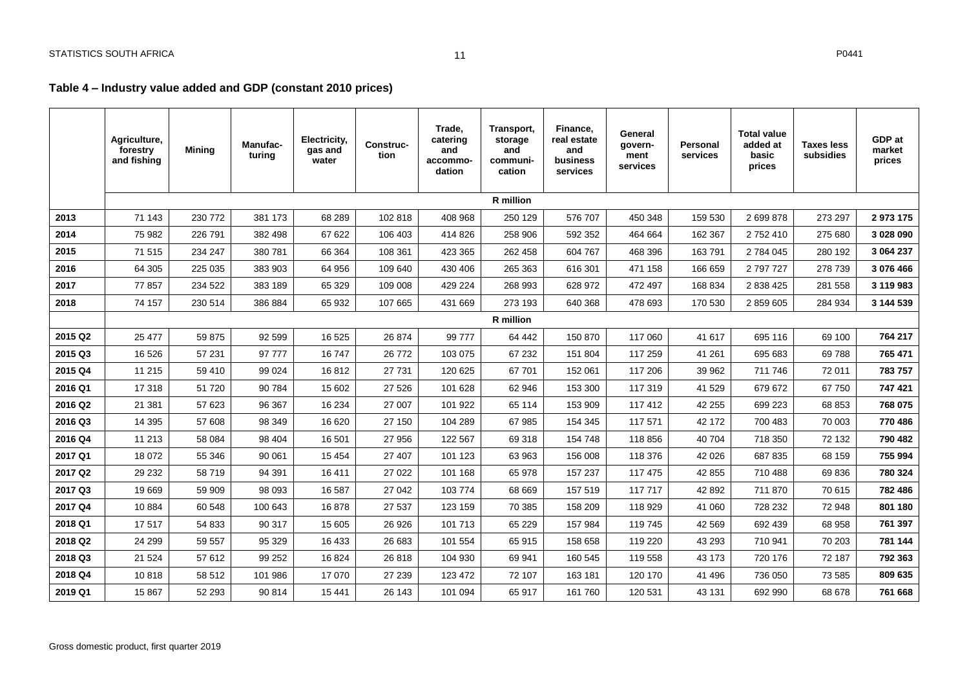## **Table 4 – Industry value added and GDP (constant 2010 prices)**

<span id="page-11-0"></span>

|         | Agriculture,<br>forestry<br>and fishing | <b>Mining</b> | <b>Manufac-</b><br>turing | Electricity,<br>gas and<br>water | <b>Construc-</b><br>tion | Trade,<br>catering<br>and<br>accommo-<br>dation | Transport,<br>storage<br>and<br>communi-<br>cation | Finance,<br>real estate<br>and<br>business<br>services | General<br>govern-<br>ment<br>services | Personal<br>services | <b>Total value</b><br>added at<br>basic<br>prices | <b>Taxes less</b><br>subsidies | GDP at<br>market<br>prices |
|---------|-----------------------------------------|---------------|---------------------------|----------------------------------|--------------------------|-------------------------------------------------|----------------------------------------------------|--------------------------------------------------------|----------------------------------------|----------------------|---------------------------------------------------|--------------------------------|----------------------------|
|         |                                         |               |                           |                                  |                          |                                                 | <b>R</b> million                                   |                                                        |                                        |                      |                                                   |                                |                            |
| 2013    | 71 143                                  | 230 772       | 381 173                   | 68 289                           | 102 818                  | 408 968                                         | 250 129                                            | 576 707                                                | 450 348                                | 159 530              | 2 699 878                                         | 273 297                        | 2 973 175                  |
| 2014    | 75 982                                  | 226 791       | 382 498                   | 67 622                           | 106 403                  | 414 826                                         | 258 906                                            | 592 352                                                | 464 664                                | 162 367              | 2752410                                           | 275 680                        | 3 028 090                  |
| 2015    | 71 515                                  | 234 247       | 380 781                   | 66 364                           | 108 361                  | 423 365                                         | 262 458                                            | 604 767                                                | 468 396                                | 163791               | 2 784 045                                         | 280 192                        | 3 064 237                  |
| 2016    | 64 30 5                                 | 225 035       | 383 903                   | 64 956                           | 109 640                  | 430 406                                         | 265 363                                            | 616 301                                                | 471 158                                | 166 659              | 2797727                                           | 278 739                        | 3 076 466                  |
| 2017    | 77857                                   | 234 522       | 383 189                   | 65 329                           | 109 008                  | 429 224                                         | 268 993                                            | 628 972                                                | 472 497                                | 168 834              | 2 838 425                                         | 281 558                        | 3 119 983                  |
| 2018    | 74 157                                  | 230 514       | 386 884                   | 65 932                           | 107 665                  | 431 669                                         | 273 193                                            | 640 368                                                | 478 693                                | 170 530              | 2 859 605                                         | 284 934                        | 3 144 539                  |
|         |                                         |               |                           |                                  |                          |                                                 | R million                                          |                                                        |                                        |                      |                                                   |                                |                            |
| 2015 Q2 | 25 477                                  | 59 875        | 92 599                    | 16 5 25                          | 26 874                   | 99 777                                          | 64 442                                             | 150 870                                                | 117 060                                | 41 617               | 695 116                                           | 69 100                         | 764 217                    |
| 2015 Q3 | 16 5 26                                 | 57 231        | 97 777                    | 16747                            | 26 772                   | 103 075                                         | 67 232                                             | 151 804                                                | 117 259                                | 41 261               | 695 683                                           | 69788                          | 765 471                    |
| 2015 Q4 | 11 215                                  | 59 410        | 99 0 24                   | 16812                            | 27 731                   | 120 625                                         | 67 701                                             | 152 061                                                | 117 206                                | 39 962               | 711 746                                           | 72 011                         | 783 757                    |
| 2016 Q1 | 17318                                   | 51 720        | 90 784                    | 15 602                           | 27 5 26                  | 101 628                                         | 62 946                                             | 153 300                                                | 117 319                                | 41 529               | 679 672                                           | 67 750                         | 747 421                    |
| 2016 Q2 | 21 381                                  | 57 623        | 96 367                    | 16 234                           | 27 007                   | 101 922                                         | 65 114                                             | 153 909                                                | 117412                                 | 42 255               | 699 223                                           | 68 853                         | 768 075                    |
| 2016 Q3 | 14 3 95                                 | 57 608        | 98 349                    | 16 620                           | 27 150                   | 104 289                                         | 67 985                                             | 154 345                                                | 117 571                                | 42 172               | 700 483                                           | 70 003                         | 770 486                    |
| 2016 Q4 | 11 213                                  | 58 084        | 98 404                    | 16 501                           | 27 956                   | 122 567                                         | 69 318                                             | 154 748                                                | 118 856                                | 40 704               | 718 350                                           | 72 132                         | 790 482                    |
| 2017 Q1 | 18 072                                  | 55 346        | 90 061                    | 15 4 54                          | 27 407                   | 101 123                                         | 63 963                                             | 156 008                                                | 118 376                                | 42 0 26              | 687 835                                           | 68 159                         | 755 994                    |
| 2017 Q2 | 29 232                                  | 58719         | 94 391                    | 16 411                           | 27 0 22                  | 101 168                                         | 65 978                                             | 157 237                                                | 117 475                                | 42 855               | 710 488                                           | 69836                          | 780 324                    |
| 2017 Q3 | 19669                                   | 59 909        | 98 093                    | 16 587                           | 27 042                   | 103 774                                         | 68 669                                             | 157 519                                                | 117 717                                | 42 892               | 711 870                                           | 70 615                         | 782 486                    |
| 2017 Q4 | 10884                                   | 60 548        | 100 643                   | 16878                            | 27 537                   | 123 159                                         | 70 385                                             | 158 209                                                | 118 929                                | 41 060               | 728 232                                           | 72 948                         | 801 180                    |
| 2018 Q1 | 17517                                   | 54 833        | 90 317                    | 15 605                           | 26 9 26                  | 101 713                                         | 65 2 29                                            | 157 984                                                | 119 745                                | 42 5 69              | 692 439                                           | 68 958                         | 761 397                    |
| 2018 Q2 | 24 299                                  | 59 557        | 95 329                    | 16 433                           | 26 683                   | 101 554                                         | 65 915                                             | 158 658                                                | 119 220                                | 43 293               | 710 941                                           | 70 203                         | 781 144                    |
| 2018 Q3 | 21 5 24                                 | 57 612        | 99 25 2                   | 16824                            | 26 818                   | 104 930                                         | 69 941                                             | 160 545                                                | 119 558                                | 43 173               | 720 176                                           | 72 187                         | 792 363                    |
| 2018 Q4 | 10818                                   | 58 512        | 101 986                   | 17 070                           | 27 239                   | 123 472                                         | 72 107                                             | 163 181                                                | 120 170                                | 41 49 6              | 736 050                                           | 73 585                         | 809 635                    |
| 2019 Q1 | 15 867                                  | 52 293        | 90 814                    | 15 441                           | 26 143                   | 101 094                                         | 65 917                                             | 161 760                                                | 120 531                                | 43 131               | 692 990                                           | 68 678                         | 761 668                    |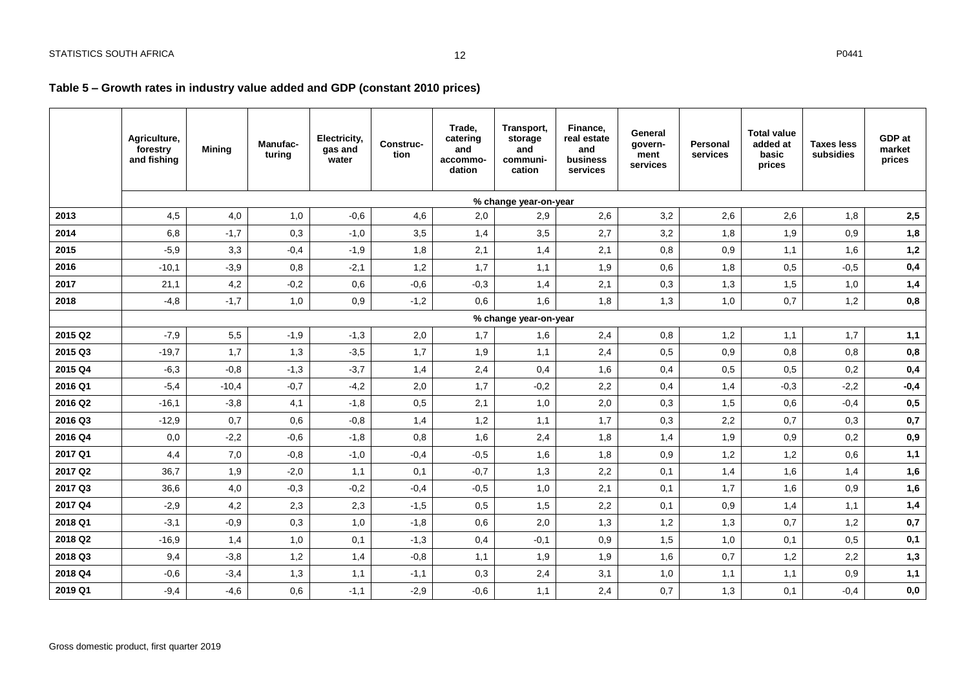## **Table 5 – Growth rates in industry value added and GDP (constant 2010 prices)**

<span id="page-12-0"></span>

|         | Agriculture,<br>forestry<br>and fishing | Mining  | Manufac-<br>turing | Electricity,<br>gas and<br>water | Construc-<br>tion | Trade,<br>catering<br>and<br>accommo-<br>dation | Transport,<br>storage<br>and<br>communi-<br>cation | Finance,<br>real estate<br>and<br>business<br>services | General<br>govern-<br>ment<br>services | Personal<br>services | <b>Total value</b><br>added at<br>basic<br>prices | <b>Taxes less</b><br>subsidies | GDP at<br>market<br>prices |
|---------|-----------------------------------------|---------|--------------------|----------------------------------|-------------------|-------------------------------------------------|----------------------------------------------------|--------------------------------------------------------|----------------------------------------|----------------------|---------------------------------------------------|--------------------------------|----------------------------|
|         |                                         |         |                    |                                  |                   |                                                 | % change year-on-year                              |                                                        |                                        |                      |                                                   |                                |                            |
| 2013    | 4,5                                     | 4,0     | 1,0                | $-0,6$                           | 4,6               | 2,0                                             | 2,9                                                | 2,6                                                    | 3,2                                    | 2,6                  | 2,6                                               | 1,8                            | 2,5                        |
| 2014    | 6,8                                     | $-1,7$  | 0,3                | $-1,0$                           | 3,5               | 1,4                                             | 3,5                                                | 2,7                                                    | 3,2                                    | 1,8                  | 1,9                                               | 0,9                            | 1,8                        |
| 2015    | $-5,9$                                  | 3,3     | $-0,4$             | $-1,9$                           | 1,8               | 2,1                                             | 1,4                                                | 2,1                                                    | 0,8                                    | 0,9                  | 1.1                                               | 1,6                            | 1,2                        |
| 2016    | $-10,1$                                 | $-3,9$  | 0,8                | $-2,1$                           | 1,2               | 1,7                                             | 1,1                                                | 1,9                                                    | 0,6                                    | 1,8                  | 0,5                                               | $-0,5$                         | 0,4                        |
| 2017    | 21,1                                    | 4,2     | $-0,2$             | 0,6                              | $-0,6$            | $-0,3$                                          | 1,4                                                | 2,1                                                    | 0,3                                    | 1,3                  | 1,5                                               | 1,0                            | 1,4                        |
| 2018    | $-4,8$                                  | $-1,7$  | 1,0                | 0,9                              | $-1,2$            | 0,6                                             | 1,6                                                | 1,8                                                    | 1,3                                    | 1,0                  | 0,7                                               | 1,2                            | 0,8                        |
|         |                                         |         |                    |                                  |                   |                                                 | % change year-on-year                              |                                                        |                                        |                      |                                                   |                                |                            |
| 2015 Q2 | $-7,9$                                  | 5,5     | $-1,9$             | $-1,3$                           | 2,0               | 1,7                                             | 1,6                                                | 2,4                                                    | 0,8                                    | 1,2                  | 1,1                                               | 1,7                            | 1,1                        |
| 2015 Q3 | $-19,7$                                 | 1,7     | 1,3                | $-3,5$                           | 1,7               | 1,9                                             | 1,1                                                | 2,4                                                    | 0,5                                    | 0,9                  | 0,8                                               | 0,8                            | 0,8                        |
| 2015 Q4 | $-6,3$                                  | $-0,8$  | $-1,3$             | $-3,7$                           | 1,4               | 2,4                                             | 0,4                                                | 1,6                                                    | 0,4                                    | 0,5                  | 0,5                                               | 0,2                            | 0,4                        |
| 2016 Q1 | $-5,4$                                  | $-10,4$ | $-0,7$             | $-4,2$                           | 2,0               | 1,7                                             | $-0,2$                                             | 2,2                                                    | 0,4                                    | 1,4                  | $-0,3$                                            | $-2,2$                         | $-0,4$                     |
| 2016 Q2 | $-16,1$                                 | $-3,8$  | 4,1                | $-1,8$                           | 0,5               | 2,1                                             | 1,0                                                | 2,0                                                    | 0,3                                    | 1,5                  | 0,6                                               | $-0,4$                         | 0,5                        |
| 2016 Q3 | $-12,9$                                 | 0,7     | 0,6                | $-0,8$                           | 1,4               | 1,2                                             | 1,1                                                | 1,7                                                    | 0,3                                    | 2,2                  | 0,7                                               | 0,3                            | 0,7                        |
| 2016 Q4 | 0,0                                     | $-2,2$  | $-0,6$             | $-1,8$                           | 0,8               | 1,6                                             | 2,4                                                | 1,8                                                    | 1,4                                    | 1,9                  | 0,9                                               | 0,2                            | 0,9                        |
| 2017 Q1 | 4,4                                     | 7,0     | $-0,8$             | $-1,0$                           | $-0,4$            | $-0,5$                                          | 1,6                                                | 1,8                                                    | 0,9                                    | 1,2                  | 1,2                                               | 0,6                            | 1,1                        |
| 2017 Q2 | 36,7                                    | 1,9     | $-2,0$             | 1,1                              | 0,1               | $-0,7$                                          | 1,3                                                | 2,2                                                    | 0,1                                    | 1,4                  | 1,6                                               | 1,4                            | 1,6                        |
| 2017 Q3 | 36,6                                    | 4,0     | $-0,3$             | $-0,2$                           | $-0,4$            | $-0,5$                                          | 1,0                                                | 2,1                                                    | 0,1                                    | 1,7                  | 1,6                                               | 0,9                            | 1,6                        |
| 2017 Q4 | $-2,9$                                  | 4,2     | 2,3                | 2,3                              | $-1,5$            | 0,5                                             | 1,5                                                | 2,2                                                    | 0,1                                    | 0,9                  | 1,4                                               | 1,1                            | 1,4                        |
| 2018 Q1 | $-3,1$                                  | $-0,9$  | 0,3                | 1,0                              | $-1,8$            | 0,6                                             | 2,0                                                | 1,3                                                    | 1,2                                    | 1,3                  | 0,7                                               | 1,2                            | 0,7                        |
| 2018 Q2 | $-16,9$                                 | 1,4     | 1,0                | 0,1                              | $-1,3$            | 0,4                                             | $-0,1$                                             | 0,9                                                    | 1,5                                    | 1,0                  | 0,1                                               | 0,5                            | 0,1                        |
| 2018 Q3 | 9,4                                     | $-3,8$  | 1,2                | 1,4                              | $-0,8$            | 1,1                                             | 1,9                                                | 1,9                                                    | 1,6                                    | 0,7                  | 1,2                                               | 2,2                            | 1,3                        |
| 2018 Q4 | $-0,6$                                  | $-3,4$  | 1,3                | 1,1                              | $-1,1$            | 0,3                                             | 2,4                                                | 3,1                                                    | 1,0                                    | 1,1                  | 1,1                                               | 0,9                            | 1,1                        |
| 2019 Q1 | $-9,4$                                  | $-4,6$  | 0,6                | $-1,1$                           | $-2,9$            | $-0,6$                                          | 1,1                                                | 2,4                                                    | 0,7                                    | 1,3                  | 0,1                                               | $-0,4$                         | 0,0                        |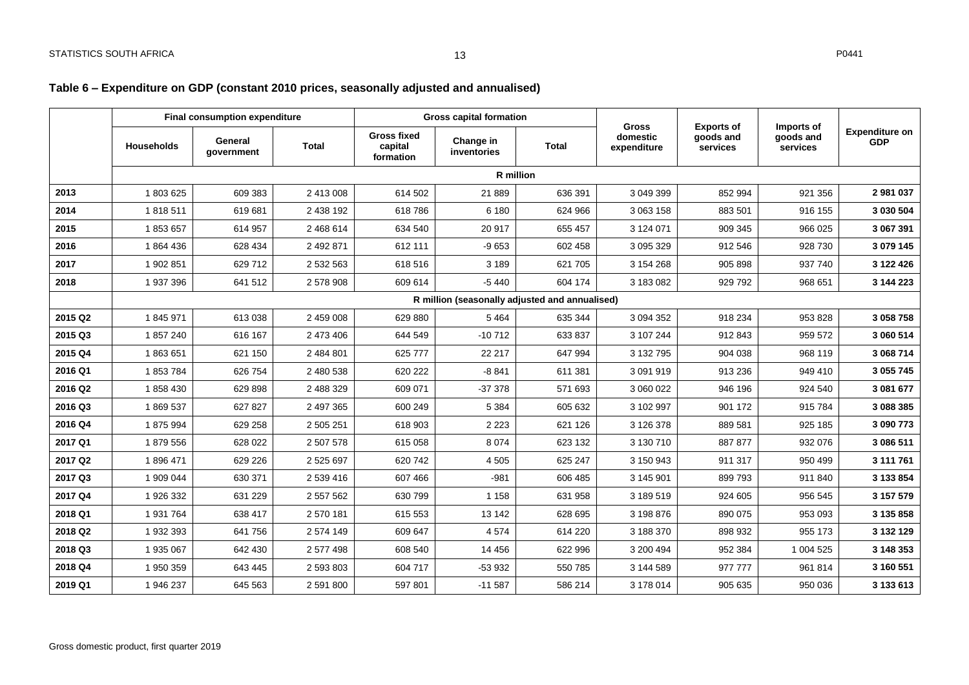## **Table 6 – Expenditure on GDP (constant 2010 prices, seasonally adjusted and annualised)**

<span id="page-13-0"></span>

|         | <b>Final consumption expenditure</b> |                       |              | <b>Gross capital formation</b>             |                                                | <b>Gross</b> | <b>Exports of</b>       | Imports of            |                       |                                     |
|---------|--------------------------------------|-----------------------|--------------|--------------------------------------------|------------------------------------------------|--------------|-------------------------|-----------------------|-----------------------|-------------------------------------|
|         | <b>Households</b>                    | General<br>government | <b>Total</b> | <b>Gross fixed</b><br>capital<br>formation | Change in<br>inventories                       | <b>Total</b> | domestic<br>expenditure | goods and<br>services | goods and<br>services | <b>Expenditure on</b><br><b>GDP</b> |
|         |                                      |                       |              |                                            |                                                | R million    |                         |                       |                       |                                     |
| 2013    | 1803625                              | 609 383               | 2 413 008    | 614 502                                    | 21 889                                         | 636 391      | 3 049 399               | 852 994               | 921 356               | 2 981 037                           |
| 2014    | 1818511                              | 619 681               | 2 438 192    | 618786                                     | 6 180                                          | 624 966      | 3 063 158               | 883 501               | 916 155               | 3 030 504                           |
| 2015    | 1853657                              | 614 957               | 2 468 614    | 634 540                                    | 20 917                                         | 655 457      | 3 124 071               | 909 345               | 966 025               | 3 067 391                           |
| 2016    | 1864436                              | 628 434               | 2 492 871    | 612 111                                    | $-9653$                                        | 602 458      | 3 095 329               | 912 546               | 928 730               | 3 079 145                           |
| 2017    | 1 902 851                            | 629 712               | 2 532 563    | 618 516                                    | 3 1 8 9                                        | 621 705      | 3 154 268               | 905 898               | 937 740               | 3 122 426                           |
| 2018    | 1 937 396                            | 641 512               | 2 578 908    | 609 614                                    | $-5440$                                        | 604 174      | 3 183 082               | 929 792               | 968 651               | 3 144 223                           |
|         |                                      |                       |              |                                            | R million (seasonally adjusted and annualised) |              |                         |                       |                       |                                     |
| 2015 Q2 | 1845971                              | 613 038               | 2 459 008    | 629 880                                    | 5 4 6 4                                        | 635 344      | 3 0 9 4 3 5 2           | 918 234               | 953 828               | 3 058 758                           |
| 2015 Q3 | 1857240                              | 616 167               | 2 473 406    | 644 549                                    | $-10712$                                       | 633 837      | 3 107 244               | 912 843               | 959 572               | 3 060 514                           |
| 2015 Q4 | 1863651                              | 621 150               | 2 484 801    | 625 777                                    | 22 217                                         | 647 994      | 3 132 795               | 904 038               | 968 119               | 3 068 714                           |
| 2016 Q1 | 1853784                              | 626 754               | 2 480 538    | 620 222                                    | $-8841$                                        | 611 381      | 3 091 919               | 913 236               | 949 410               | 3 055 745                           |
| 2016 Q2 | 1858430                              | 629 898               | 2 488 329    | 609 071                                    | $-37378$                                       | 571 693      | 3 060 022               | 946 196               | 924 540               | 3 081 677                           |
| 2016 Q3 | 1869537                              | 627 827               | 2 497 365    | 600 249                                    | 5 3 8 4                                        | 605 632      | 3 102 997               | 901 172               | 915 784               | 3 088 385                           |
| 2016 Q4 | 1875994                              | 629 258               | 2 505 251    | 618 903                                    | 2 2 2 3                                        | 621 126      | 3 126 378               | 889 581               | 925 185               | 3 090 773                           |
| 2017 Q1 | 1879556                              | 628 022               | 2 507 578    | 615 058                                    | 8 0 7 4                                        | 623 132      | 3 130 710               | 887 877               | 932 076               | 3 086 511                           |
| 2017 Q2 | 1896471                              | 629 226               | 2 525 697    | 620 742                                    | 4 5 0 5                                        | 625 247      | 3 150 943               | 911 317               | 950 499               | 3 111 761                           |
| 2017 Q3 | 1 909 044                            | 630 371               | 2 539 416    | 607 466                                    | $-981$                                         | 606 485      | 3 145 901               | 899 793               | 911 840               | 3 133 854                           |
| 2017 Q4 | 1 926 332                            | 631 229               | 2 557 562    | 630 799                                    | 1 1 5 8                                        | 631 958      | 3 189 519               | 924 605               | 956 545               | 3 157 579                           |
| 2018 Q1 | 1 931 764                            | 638 417               | 2570181      | 615 553                                    | 13 142                                         | 628 695      | 3 198 876               | 890 075               | 953 093               | 3 135 858                           |
| 2018 Q2 | 1 932 393                            | 641 756               | 2 574 149    | 609 647                                    | 4574                                           | 614 220      | 3 188 370               | 898 932               | 955 173               | 3 132 129                           |
| 2018 Q3 | 1 935 067                            | 642 430               | 2 577 498    | 608 540                                    | 14 4 5 6                                       | 622 996      | 3 200 494               | 952 384               | 1 004 525             | 3 148 353                           |
| 2018 Q4 | 1 950 359                            | 643 445               | 2 593 803    | 604 717                                    | -53 932                                        | 550 785      | 3 144 589               | 977 777               | 961 814               | 3 160 551                           |
| 2019 Q1 | 1 946 237                            | 645 563               | 2 591 800    | 597 801                                    | $-11587$                                       | 586 214      | 3 178 014               | 905 635               | 950 036               | 3 133 613                           |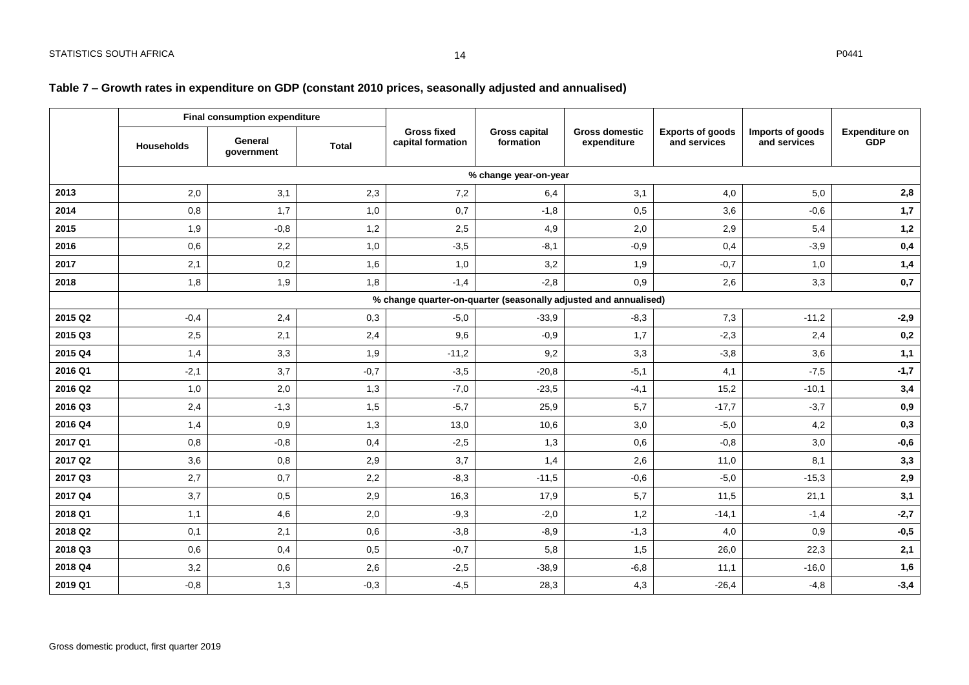## **Table 7 – Growth rates in expenditure on GDP (constant 2010 prices, seasonally adjusted and annualised)**

<span id="page-14-0"></span>

|         |                   | Final consumption expenditure |              |                                                                  |                                   |                                      |                                         |                                  |                                     |
|---------|-------------------|-------------------------------|--------------|------------------------------------------------------------------|-----------------------------------|--------------------------------------|-----------------------------------------|----------------------------------|-------------------------------------|
|         | <b>Households</b> | General<br>government         | <b>Total</b> | <b>Gross fixed</b><br>capital formation                          | <b>Gross capital</b><br>formation | <b>Gross domestic</b><br>expenditure | <b>Exports of goods</b><br>and services | Imports of goods<br>and services | <b>Expenditure on</b><br><b>GDP</b> |
|         |                   |                               |              |                                                                  | % change year-on-year             |                                      |                                         |                                  |                                     |
| 2013    | 2,0               | 3,1                           | 2,3          | 7,2                                                              | 6,4                               | 3,1                                  | 4,0                                     | 5,0                              | 2,8                                 |
| 2014    | 0,8               | 1,7                           | 1,0          | 0,7                                                              | $-1,8$                            | 0,5                                  | 3,6                                     | $-0,6$                           | 1,7                                 |
| 2015    | 1,9               | $-0,8$                        | 1,2          | 2,5                                                              | 4,9                               | 2,0                                  | 2,9                                     | 5,4                              | 1,2                                 |
| 2016    | 0,6               | 2,2                           | 1,0          | $-3,5$                                                           | $-8,1$                            | $-0,9$                               | 0,4                                     | $-3,9$                           | 0,4                                 |
| 2017    | 2,1               | 0,2                           | 1,6          | 1,0                                                              | 3,2                               | 1,9                                  | $-0,7$                                  | 1,0                              | 1,4                                 |
| 2018    | 1,8               | 1,9                           | 1,8          | $-1,4$                                                           | $-2,8$                            | 0,9                                  | 2,6                                     | 3,3                              | 0,7                                 |
|         |                   |                               |              | % change quarter-on-quarter (seasonally adjusted and annualised) |                                   |                                      |                                         |                                  |                                     |
| 2015 Q2 | $-0,4$            | 2,4                           | 0,3          | $-5,0$                                                           | $-33,9$                           | $-8,3$                               | 7,3                                     | $-11,2$                          | $-2,9$                              |
| 2015 Q3 | 2,5               | 2,1                           | 2,4          | 9,6                                                              | $-0,9$                            | 1,7                                  | $-2,3$                                  | 2,4                              | 0,2                                 |
| 2015 Q4 | 1,4               | 3,3                           | 1,9          | $-11,2$                                                          | 9,2                               | 3,3                                  | $-3,8$                                  | 3,6                              | 1,1                                 |
| 2016 Q1 | $-2,1$            | 3,7                           | $-0,7$       | $-3,5$                                                           | $-20,8$                           | $-5,1$                               | 4,1                                     | $-7,5$                           | $-1,7$                              |
| 2016 Q2 | 1,0               | 2,0                           | 1,3          | $-7,0$                                                           | $-23,5$                           | $-4,1$                               | 15,2                                    | $-10,1$                          | 3,4                                 |
| 2016 Q3 | 2,4               | $-1,3$                        | 1,5          | $-5,7$                                                           | 25,9                              | 5,7                                  | $-17,7$                                 | $-3,7$                           | 0,9                                 |
| 2016 Q4 | 1,4               | 0,9                           | 1,3          | 13,0                                                             | 10,6                              | 3,0                                  | $-5,0$                                  | 4,2                              | 0,3                                 |
| 2017 Q1 | 0,8               | $-0,8$                        | 0,4          | $-2,5$                                                           | 1,3                               | 0,6                                  | $-0,8$                                  | 3,0                              | $-0,6$                              |
| 2017 Q2 | 3,6               | 0,8                           | 2,9          | 3,7                                                              | 1,4                               | 2,6                                  | 11,0                                    | 8,1                              | 3,3                                 |
| 2017 Q3 | 2,7               | 0,7                           | 2,2          | $-8,3$                                                           | $-11.5$                           | $-0,6$                               | $-5,0$                                  | $-15.3$                          | 2,9                                 |
| 2017 Q4 | 3,7               | 0,5                           | 2,9          | 16,3                                                             | 17,9                              | 5,7                                  | 11,5                                    | 21,1                             | 3,1                                 |
| 2018 Q1 | 1,1               | 4,6                           | 2,0          | $-9,3$                                                           | $-2,0$                            | 1,2                                  | $-14,1$                                 | $-1,4$                           | $-2,7$                              |
| 2018 Q2 | 0,1               | 2,1                           | 0,6          | $-3,8$                                                           | $-8,9$                            | $-1,3$                               | 4,0                                     | 0,9                              | $-0,5$                              |
| 2018 Q3 | 0,6               | 0,4                           | 0,5          | $-0,7$                                                           | 5,8                               | 1,5                                  | 26,0                                    | 22,3                             | 2,1                                 |
| 2018 Q4 | 3,2               | 0,6                           | 2,6          | $-2,5$                                                           | $-38,9$                           | $-6,8$                               | 11,1                                    | $-16,0$                          | 1,6                                 |
| 2019 Q1 | $-0,8$            | 1,3                           | $-0,3$       | $-4,5$                                                           | 28,3                              | 4,3                                  | $-26,4$                                 | $-4,8$                           | $-3,4$                              |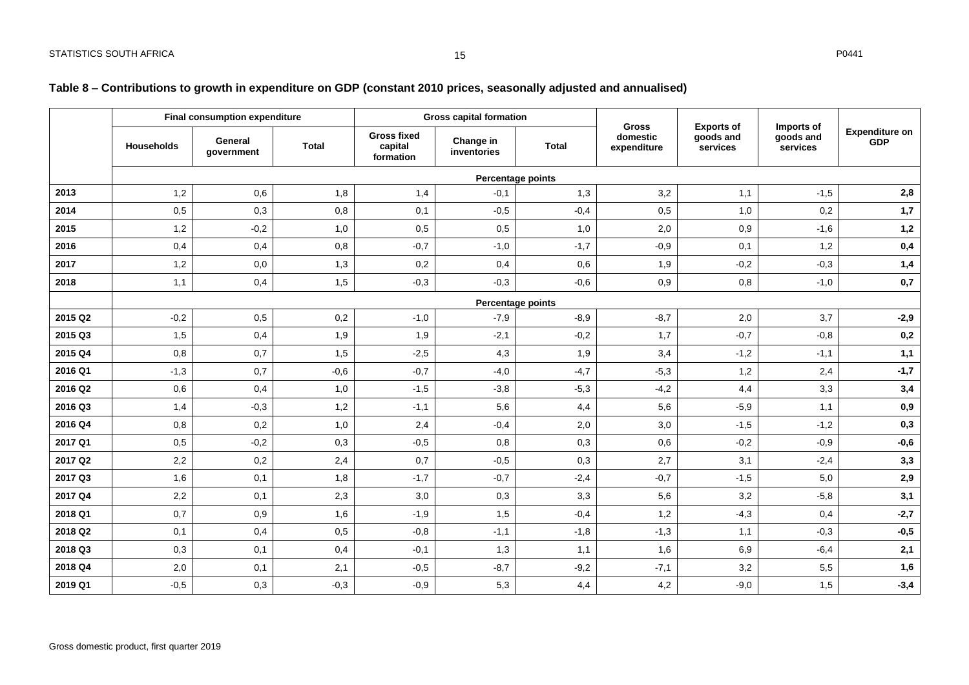## **Table 8 – Contributions to growth in expenditure on GDP (constant 2010 prices, seasonally adjusted and annualised)**

|         | Final consumption expenditure |                       |              | <b>Gross capital formation</b>             |                          | <b>Gross</b>             |                         |                                            |                                     |                                     |
|---------|-------------------------------|-----------------------|--------------|--------------------------------------------|--------------------------|--------------------------|-------------------------|--------------------------------------------|-------------------------------------|-------------------------------------|
|         | Households                    | General<br>government | <b>Total</b> | <b>Gross fixed</b><br>capital<br>formation | Change in<br>inventories | <b>Total</b>             | domestic<br>expenditure | <b>Exports of</b><br>goods and<br>services | Imports of<br>goods and<br>services | <b>Expenditure on</b><br><b>GDP</b> |
|         |                               |                       |              |                                            |                          | <b>Percentage points</b> |                         |                                            |                                     |                                     |
| 2013    | 1,2                           | 0,6                   | 1,8          | 1,4                                        | $-0,1$                   | 1,3                      | 3,2                     | 1,1                                        | $-1,5$                              | 2,8                                 |
| 2014    | 0,5                           | 0,3                   | 0,8          | 0,1                                        | $-0,5$                   | $-0,4$                   | 0,5                     | 1,0                                        | 0,2                                 | 1,7                                 |
| 2015    | 1,2                           | $-0,2$                | 1,0          | 0,5                                        | 0,5                      | 1,0                      | 2,0                     | 0,9                                        | $-1,6$                              | 1,2                                 |
| 2016    | 0,4                           | 0,4                   | 0,8          | $-0,7$                                     | $-1,0$                   | $-1,7$                   | $-0,9$                  | 0,1                                        | 1,2                                 | 0,4                                 |
| 2017    | 1,2                           | 0,0                   | 1,3          | 0,2                                        | 0,4                      | 0,6                      | 1,9                     | $-0,2$                                     | $-0,3$                              | 1,4                                 |
| 2018    | 1,1                           | 0,4                   | 1,5          | $-0,3$                                     | $-0,3$                   | $-0,6$                   | 0,9                     | 0,8                                        | $-1,0$                              | 0,7                                 |
|         |                               |                       |              |                                            | Percentage points        |                          |                         |                                            |                                     |                                     |
| 2015 Q2 | $-0,2$                        | 0,5                   | 0,2          | $-1,0$                                     | $-7,9$                   | $-8,9$                   | $-8,7$                  | 2,0                                        | 3,7                                 | $-2,9$                              |
| 2015 Q3 | 1,5                           | 0,4                   | 1,9          | 1,9                                        | $-2,1$                   | $-0,2$                   | 1,7                     | $-0,7$                                     | $-0,8$                              | 0,2                                 |
| 2015 Q4 | 0,8                           | 0,7                   | 1,5          | $-2,5$                                     | 4,3                      | 1,9                      | 3,4                     | $-1,2$                                     | $-1,1$                              | 1,1                                 |
| 2016 Q1 | $-1,3$                        | 0,7                   | $-0,6$       | $-0,7$                                     | $-4,0$                   | $-4,7$                   | $-5,3$                  | 1,2                                        | 2,4                                 | $-1,7$                              |
| 2016 Q2 | 0,6                           | 0,4                   | 1,0          | $-1,5$                                     | $-3,8$                   | $-5,3$                   | $-4,2$                  | 4,4                                        | 3,3                                 | 3,4                                 |
| 2016 Q3 | 1,4                           | $-0,3$                | 1,2          | $-1,1$                                     | 5,6                      | 4,4                      | 5,6                     | $-5,9$                                     | 1,1                                 | 0,9                                 |
| 2016 Q4 | 0,8                           | 0,2                   | 1,0          | 2,4                                        | $-0,4$                   | 2,0                      | 3,0                     | $-1,5$                                     | $-1,2$                              | 0,3                                 |
| 2017 Q1 | 0,5                           | $-0,2$                | 0,3          | $-0,5$                                     | 0,8                      | 0,3                      | 0,6                     | $-0,2$                                     | $-0,9$                              | $-0,6$                              |
| 2017 Q2 | 2,2                           | 0,2                   | 2,4          | 0,7                                        | $-0,5$                   | 0,3                      | 2,7                     | 3,1                                        | $-2,4$                              | 3,3                                 |
| 2017 Q3 | 1,6                           | 0,1                   | 1,8          | $-1,7$                                     | $-0.7$                   | $-2,4$                   | $-0,7$                  | $-1,5$                                     | 5,0                                 | 2,9                                 |
| 2017 Q4 | 2,2                           | 0,1                   | 2,3          | 3,0                                        | 0,3                      | 3,3                      | 5,6                     | 3,2                                        | $-5,8$                              | 3,1                                 |
| 2018 Q1 | 0,7                           | 0,9                   | 1,6          | $-1,9$                                     | 1,5                      | $-0,4$                   | 1,2                     | $-4,3$                                     | 0,4                                 | $-2,7$                              |
| 2018 Q2 | 0,1                           | 0,4                   | 0,5          | $-0,8$                                     | $-1,1$                   | $-1,8$                   | $-1,3$                  | 1,1                                        | $-0,3$                              | $-0,5$                              |
| 2018 Q3 | 0,3                           | 0,1                   | 0,4          | $-0,1$                                     | 1,3                      | 1,1                      | 1,6                     | 6,9                                        | $-6,4$                              | 2,1                                 |
| 2018 Q4 | 2,0                           | 0,1                   | 2,1          | $-0,5$                                     | $-8,7$                   | $-9,2$                   | $-7,1$                  | 3,2                                        | 5,5                                 | 1,6                                 |
| 2019 Q1 | $-0,5$                        | 0,3                   | $-0,3$       | $-0,9$                                     | 5,3                      | 4,4                      | 4,2                     | $-9,0$                                     | 1,5                                 | $-3,4$                              |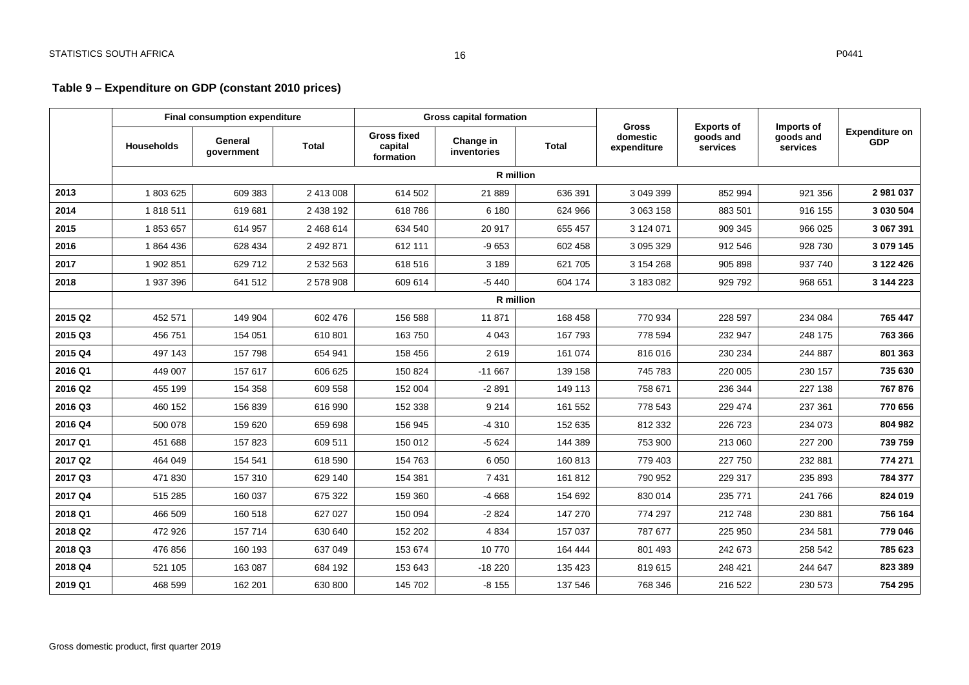## **Table 9 – Expenditure on GDP (constant 2010 prices)**

<span id="page-16-0"></span>

|         | <b>Final consumption expenditure</b> |                       |              | <b>Gross capital formation</b>             |                          | <b>Gross</b> | <b>Exports of</b>       | Imports of            |                       |                                     |
|---------|--------------------------------------|-----------------------|--------------|--------------------------------------------|--------------------------|--------------|-------------------------|-----------------------|-----------------------|-------------------------------------|
|         | <b>Households</b>                    | General<br>government | <b>Total</b> | <b>Gross fixed</b><br>capital<br>formation | Change in<br>inventories | <b>Total</b> | domestic<br>expenditure | goods and<br>services | goods and<br>services | <b>Expenditure on</b><br><b>GDP</b> |
|         |                                      |                       |              |                                            | <b>R</b> million         |              |                         |                       |                       |                                     |
| 2013    | 1803625                              | 609 383               | 2 413 008    | 614 502                                    | 21 889                   | 636 391      | 3 049 399               | 852 994               | 921 356               | 2 981 037                           |
| 2014    | 1818511                              | 619 681               | 2 438 192    | 618786                                     | 6 180                    | 624 966      | 3 063 158               | 883 501               | 916 155               | 3 030 504                           |
| 2015    | 1853657                              | 614 957               | 2 468 614    | 634 540                                    | 20 917                   | 655 457      | 3 124 071               | 909 345               | 966 025               | 3 067 391                           |
| 2016    | 1864436                              | 628 434               | 2 492 871    | 612 111                                    | $-9653$                  | 602 458      | 3 095 329               | 912 546               | 928 730               | 3 079 145                           |
| 2017    | 1 902 851                            | 629 712               | 2 532 563    | 618 516                                    | 3 1 8 9                  | 621 705      | 3 154 268               | 905 898               | 937 740               | 3 122 426                           |
| 2018    | 1937396                              | 641 512               | 2 578 908    | 609 614                                    | $-5440$                  | 604 174      | 3 183 082               | 929 792               | 968 651               | 3 144 223                           |
|         |                                      |                       |              |                                            | <b>R</b> million         |              |                         |                       |                       |                                     |
| 2015 Q2 | 452 571                              | 149 904               | 602 476      | 156 588                                    | 11 871                   | 168 458      | 770 934                 | 228 597               | 234 084               | 765 447                             |
| 2015 Q3 | 456 751                              | 154 051               | 610 801      | 163750                                     | 4 0 4 3                  | 167 793      | 778 594                 | 232 947               | 248 175               | 763 366                             |
| 2015 Q4 | 497 143                              | 157 798               | 654 941      | 158 456                                    | 2619                     | 161 074      | 816 016                 | 230 234               | 244 887               | 801 363                             |
| 2016 Q1 | 449 007                              | 157 617               | 606 625      | 150 824                                    | $-11667$                 | 139 158      | 745 783                 | 220 005               | 230 157               | 735 630                             |
| 2016 Q2 | 455 199                              | 154 358               | 609 558      | 152 004                                    | $-2891$                  | 149 113      | 758 671                 | 236 344               | 227 138               | 767 876                             |
| 2016 Q3 | 460 152                              | 156 839               | 616 990      | 152 338                                    | 9 2 1 4                  | 161 552      | 778 543                 | 229 474               | 237 361               | 770 656                             |
| 2016 Q4 | 500 078                              | 159 620               | 659 698      | 156 945                                    | $-4310$                  | 152 635      | 812 332                 | 226 723               | 234 073               | 804 982                             |
| 2017 Q1 | 451 688                              | 157823                | 609 511      | 150 012                                    | $-5624$                  | 144 389      | 753 900                 | 213 060               | 227 200               | 739 759                             |
| 2017 Q2 | 464 049                              | 154 541               | 618 590      | 154 763                                    | 6 0 5 0                  | 160 813      | 779 403                 | 227 750               | 232 881               | 774 271                             |
| 2017 Q3 | 471 830                              | 157 310               | 629 140      | 154 381                                    | 7 4 31                   | 161 812      | 790 952                 | 229 317               | 235 893               | 784 377                             |
| 2017 Q4 | 515 285                              | 160 037               | 675 322      | 159 360                                    | $-4668$                  | 154 692      | 830 014                 | 235 771               | 241 766               | 824 019                             |
| 2018 Q1 | 466 509                              | 160 518               | 627 027      | 150 094                                    | $-2824$                  | 147 270      | 774 297                 | 212 748               | 230 881               | 756 164                             |
| 2018 Q2 | 472 926                              | 157 714               | 630 640      | 152 202                                    | 4 8 3 4                  | 157 037      | 787 677                 | 225 950               | 234 581               | 779 046                             |
| 2018 Q3 | 476 856                              | 160 193               | 637 049      | 153 674                                    | 10770                    | 164 444      | 801 493                 | 242 673               | 258 542               | 785 623                             |
| 2018 Q4 | 521 105                              | 163 087               | 684 192      | 153 643                                    | $-18220$                 | 135 423      | 819 615                 | 248 421               | 244 647               | 823 389                             |
| 2019 Q1 | 468 599                              | 162 201               | 630 800      | 145 702                                    | $-8155$                  | 137 546      | 768 346                 | 216 522               | 230 573               | 754 295                             |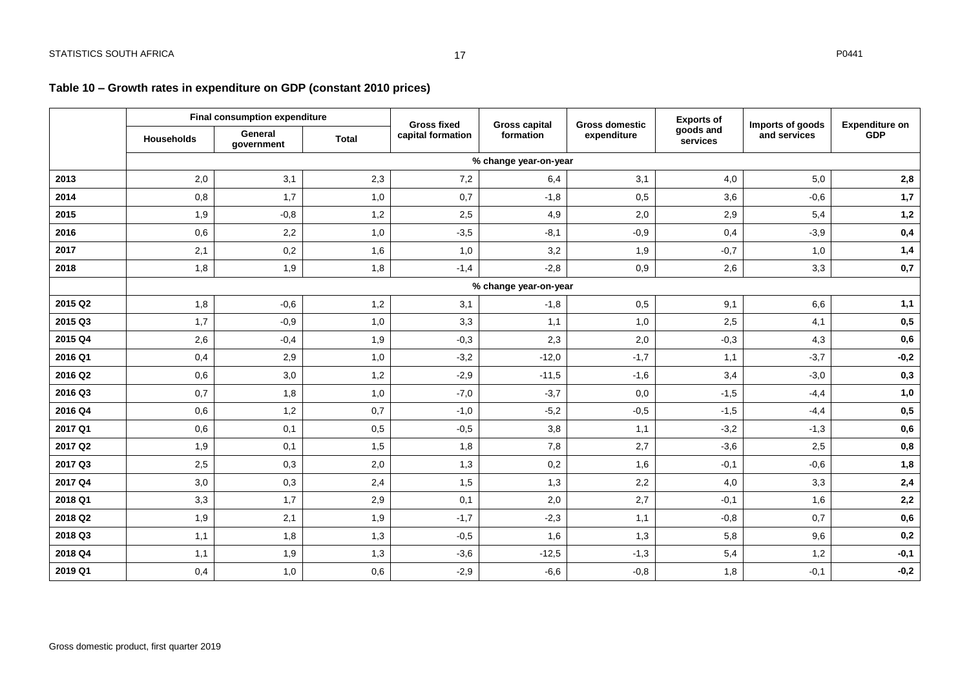## **Table 10 – Growth rates in expenditure on GDP (constant 2010 prices)**

<span id="page-17-0"></span>

|         | Final consumption expenditure |                       |              | <b>Gross fixed</b>    | <b>Gross capital</b>  | <b>Gross domestic</b> | <b>Exports of</b>     | Imports of goods | <b>Expenditure on</b> |  |  |
|---------|-------------------------------|-----------------------|--------------|-----------------------|-----------------------|-----------------------|-----------------------|------------------|-----------------------|--|--|
|         | Households                    | General<br>government | <b>Total</b> | capital formation     | formation             | expenditure           | goods and<br>services | and services     | <b>GDP</b>            |  |  |
|         |                               |                       |              | % change year-on-year |                       |                       |                       |                  |                       |  |  |
| 2013    | 2,0                           | 3,1                   | 2,3          | 7,2                   | 6,4                   | 3,1                   | 4,0                   | 5,0              | 2,8                   |  |  |
| 2014    | 0,8                           | 1,7                   | 1,0          | 0,7                   | $-1,8$                | 0,5                   | 3,6                   | $-0,6$           | 1,7                   |  |  |
| 2015    | 1,9                           | $-0,8$                | 1,2          | 2,5                   | 4,9                   | 2,0                   | 2,9                   | 5,4              | 1,2                   |  |  |
| 2016    | 0,6                           | 2,2                   | 1,0          | $-3,5$                | $-8,1$                | $-0,9$                | 0,4                   | $-3,9$           | 0,4                   |  |  |
| 2017    | 2,1                           | 0,2                   | 1,6          | 1,0                   | 3,2                   | 1,9                   | $-0,7$                | 1,0              | 1,4                   |  |  |
| 2018    | 1,8                           | 1,9                   | 1,8          | $-1,4$                | $-2,8$                | 0,9                   | 2,6                   | 3,3              | 0,7                   |  |  |
|         |                               |                       |              |                       | % change year-on-year |                       |                       |                  |                       |  |  |
| 2015 Q2 | 1,8                           | $-0,6$                | 1,2          | 3,1                   | $-1,8$                | 0,5                   | 9,1                   | 6,6              | 1,1                   |  |  |
| 2015 Q3 | 1,7                           | $-0,9$                | 1,0          | 3,3                   | 1,1                   | 1,0                   | 2,5                   | 4,1              | 0,5                   |  |  |
| 2015 Q4 | 2,6                           | $-0,4$                | 1,9          | $-0,3$                | 2,3                   | 2,0                   | $-0,3$                | 4,3              | 0,6                   |  |  |
| 2016 Q1 | 0,4                           | 2,9                   | 1,0          | $-3,2$                | $-12,0$               | $-1,7$                | 1,1                   | $-3,7$           | $-0,2$                |  |  |
| 2016 Q2 | 0,6                           | 3,0                   | 1,2          | $-2,9$                | $-11,5$               | $-1,6$                | 3,4                   | $-3,0$           | 0,3                   |  |  |
| 2016 Q3 | 0,7                           | 1,8                   | 1,0          | $-7,0$                | $-3,7$                | 0,0                   | $-1,5$                | $-4,4$           | 1,0                   |  |  |
| 2016 Q4 | 0,6                           | 1,2                   | 0,7          | $-1,0$                | $-5,2$                | $-0,5$                | $-1,5$                | $-4,4$           | 0,5                   |  |  |
| 2017 Q1 | 0,6                           | 0,1                   | 0,5          | $-0,5$                | 3,8                   | 1,1                   | $-3,2$                | $-1,3$           | 0,6                   |  |  |
| 2017 Q2 | 1,9                           | 0,1                   | 1,5          | 1,8                   | 7,8                   | 2,7                   | $-3,6$                | 2,5              | 0,8                   |  |  |
| 2017 Q3 | 2,5                           | 0,3                   | 2,0          | 1,3                   | 0,2                   | 1,6                   | $-0,1$                | $-0,6$           | 1,8                   |  |  |
| 2017 Q4 | 3,0                           | 0,3                   | 2,4          | 1,5                   | 1,3                   | 2,2                   | 4,0                   | 3,3              | 2,4                   |  |  |
| 2018 Q1 | 3,3                           | 1,7                   | 2,9          | 0,1                   | 2,0                   | 2,7                   | $-0,1$                | 1,6              | 2,2                   |  |  |
| 2018 Q2 | 1,9                           | 2,1                   | 1,9          | $-1,7$                | $-2,3$                | 1,1                   | $-0,8$                | 0,7              | 0,6                   |  |  |
| 2018 Q3 | 1,1                           | 1,8                   | 1,3          | $-0,5$                | 1,6                   | 1,3                   | 5,8                   | 9,6              | 0,2                   |  |  |
| 2018 Q4 | 1,1                           | 1,9                   | 1,3          | $-3,6$                | $-12,5$               | $-1,3$                | 5,4                   | 1,2              | $-0,1$                |  |  |
| 2019 Q1 | 0,4                           | 1,0                   | 0,6          | $-2,9$                | $-6,6$                | $-0,8$                | 1,8                   | $-0,1$           | $-0,2$                |  |  |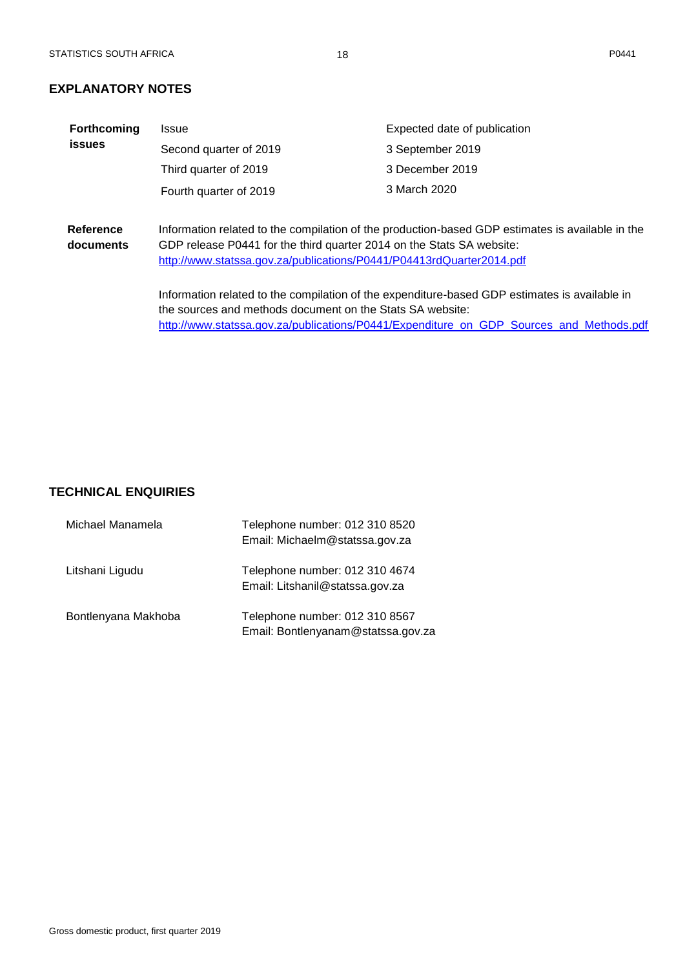## <span id="page-18-0"></span>**EXPLANATORY NOTES**

| <b>Forthcoming</b> | Issue                                                                 | Expected date of publication                                                                     |  |  |  |  |  |  |  |
|--------------------|-----------------------------------------------------------------------|--------------------------------------------------------------------------------------------------|--|--|--|--|--|--|--|
| <b>issues</b>      | Second quarter of 2019                                                | 3 September 2019                                                                                 |  |  |  |  |  |  |  |
|                    | Third quarter of 2019                                                 | 3 December 2019                                                                                  |  |  |  |  |  |  |  |
|                    | Fourth quarter of 2019                                                | 3 March 2020                                                                                     |  |  |  |  |  |  |  |
|                    |                                                                       |                                                                                                  |  |  |  |  |  |  |  |
| Reference          |                                                                       | Information related to the compilation of the production-based GDP estimates is available in the |  |  |  |  |  |  |  |
| documents          | GDP release P0441 for the third quarter 2014 on the Stats SA website: |                                                                                                  |  |  |  |  |  |  |  |
|                    | http://www.statssa.gov.za/publications/P0441/P04413rdQuarter2014.pdf  |                                                                                                  |  |  |  |  |  |  |  |
|                    |                                                                       | Information related to the compilation of the expenditure-based GDP estimates is available in    |  |  |  |  |  |  |  |
|                    | the sources and methods document on the Stats SA website:             |                                                                                                  |  |  |  |  |  |  |  |
|                    |                                                                       | http://www.statssa.gov.za/publications/P0441/Expenditure_on_GDP_Sources_and_Methods.pdf          |  |  |  |  |  |  |  |
|                    |                                                                       |                                                                                                  |  |  |  |  |  |  |  |

## <span id="page-18-1"></span>**TECHNICAL ENQUIRIES**

| Michael Manamela    | Telephone number: 012 310 8520<br>Email: Michaelm@statssa.gov.za     |
|---------------------|----------------------------------------------------------------------|
| Litshani Ligudu     | Telephone number: 012 310 4674<br>Email: Litshanil@statssa.gov.za    |
| Bontlenyana Makhoba | Telephone number: 012 310 8567<br>Email: Bontlenyanam@statssa.gov.za |